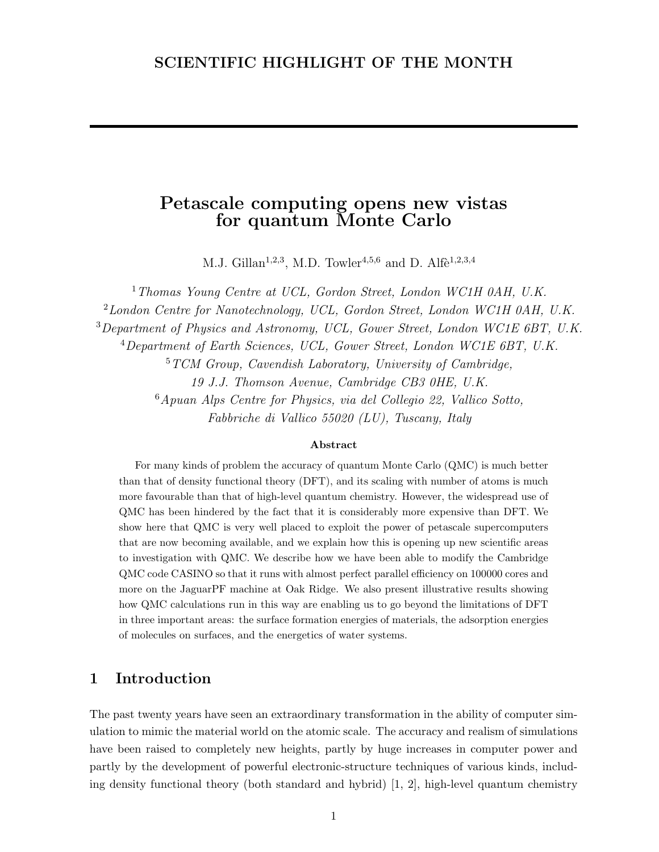## SCIENTIFIC HIGHLIGHT OF THE MONTH

# Petascale computing opens new vistas for quantum Monte Carlo

M.J. Gillan<sup>1,2,3</sup>, M.D. Towler<sup>4,5,6</sup> and D. Alfe<sup>1,2,3,4</sup>

<sup>1</sup>Thomas Young Centre at UCL, Gordon Street, London WC1H 0AH, U.K.  $2$ London Centre for Nanotechnology, UCL, Gordon Street, London WC1H 0AH, U.K. <sup>3</sup>Department of Physics and Astronomy, UCL, Gower Street, London WC1E 6BT, U.K. <sup>4</sup>Department of Earth Sciences, UCL, Gower Street, London WC1E 6BT, U.K.  $5 TCM Group, Cavendish Laboratory, University of Cambridge,$ 19 J.J. Thomson Avenue, Cambridge CB3 0HE, U.K. <sup>6</sup>Apuan Alps Centre for Physics, via del Collegio 22, Vallico Sotto, Fabbriche di Vallico 55020 (LU), Tuscany, Italy

#### Abstract

For many kinds of problem the accuracy of quantum Monte Carlo (QMC) is much better than that of density functional theory (DFT), and its scaling with number of atoms is much more favourable than that of high-level quantum chemistry. However, the widespread use of QMC has been hindered by the fact that it is considerably more expensive than DFT. We show here that QMC is very well placed to exploit the power of petascale supercomputers that are now becoming available, and we explain how this is opening up new scientific areas to investigation with QMC. We describe how we have been able to modify the Cambridge QMC code CASINO so that it runs with almost perfect parallel efficiency on 100000 cores and more on the JaguarPF machine at Oak Ridge. We also present illustrative results showing how QMC calculations run in this way are enabling us to go beyond the limitations of DFT in three important areas: the surface formation energies of materials, the adsorption energies of molecules on surfaces, and the energetics of water systems.

## 1 Introduction

The past twenty years have seen an extraordinary transformation in the ability of computer simulation to mimic the material world on the atomic scale. The accuracy and realism of simulations have been raised to completely new heights, partly by huge increases in computer power and partly by the development of powerful electronic-structure techniques of various kinds, including density functional theory (both standard and hybrid) [1, 2], high-level quantum chemistry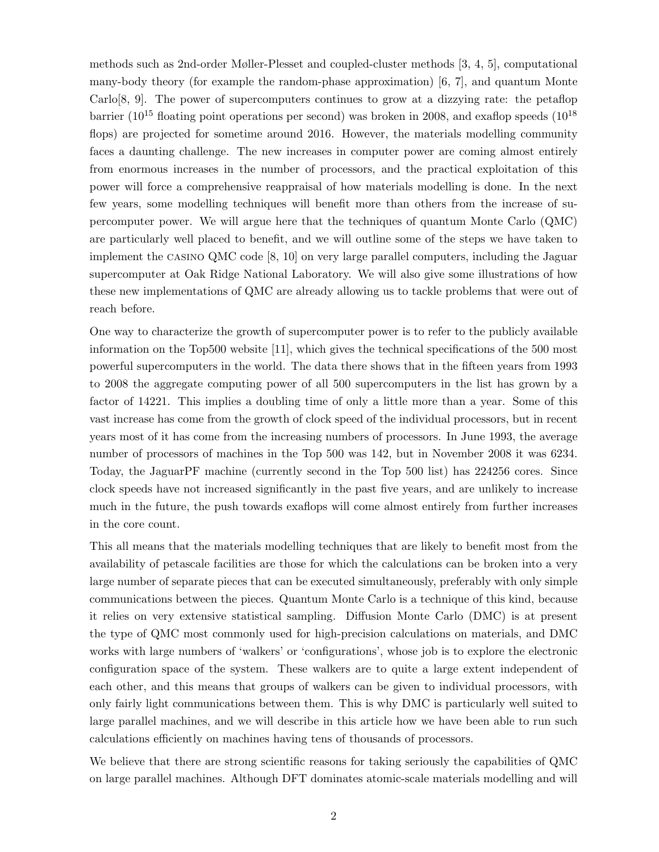methods such as 2nd-order Møller-Plesset and coupled-cluster methods [3, 4, 5], computational many-body theory (for example the random-phase approximation) [6, 7], and quantum Monte Carlo[8, 9]. The power of supercomputers continues to grow at a dizzying rate: the petaflop barrier ( $10^{15}$  floating point operations per second) was broken in 2008, and exaflop speeds ( $10^{18}$ ) flops) are projected for sometime around 2016. However, the materials modelling community faces a daunting challenge. The new increases in computer power are coming almost entirely from enormous increases in the number of processors, and the practical exploitation of this power will force a comprehensive reappraisal of how materials modelling is done. In the next few years, some modelling techniques will benefit more than others from the increase of supercomputer power. We will argue here that the techniques of quantum Monte Carlo (QMC) are particularly well placed to benefit, and we will outline some of the steps we have taken to implement the casino QMC code [8, 10] on very large parallel computers, including the Jaguar supercomputer at Oak Ridge National Laboratory. We will also give some illustrations of how these new implementations of QMC are already allowing us to tackle problems that were out of reach before.

One way to characterize the growth of supercomputer power is to refer to the publicly available information on the Top500 website [11], which gives the technical specifications of the 500 most powerful supercomputers in the world. The data there shows that in the fifteen years from 1993 to 2008 the aggregate computing power of all 500 supercomputers in the list has grown by a factor of 14221. This implies a doubling time of only a little more than a year. Some of this vast increase has come from the growth of clock speed of the individual processors, but in recent years most of it has come from the increasing numbers of processors. In June 1993, the average number of processors of machines in the Top 500 was 142, but in November 2008 it was 6234. Today, the JaguarPF machine (currently second in the Top 500 list) has 224256 cores. Since clock speeds have not increased significantly in the past five years, and are unlikely to increase much in the future, the push towards exaflops will come almost entirely from further increases in the core count.

This all means that the materials modelling techniques that are likely to benefit most from the availability of petascale facilities are those for which the calculations can be broken into a very large number of separate pieces that can be executed simultaneously, preferably with only simple communications between the pieces. Quantum Monte Carlo is a technique of this kind, because it relies on very extensive statistical sampling. Diffusion Monte Carlo (DMC) is at present the type of QMC most commonly used for high-precision calculations on materials, and DMC works with large numbers of 'walkers' or 'configurations', whose job is to explore the electronic configuration space of the system. These walkers are to quite a large extent independent of each other, and this means that groups of walkers can be given to individual processors, with only fairly light communications between them. This is why DMC is particularly well suited to large parallel machines, and we will describe in this article how we have been able to run such calculations efficiently on machines having tens of thousands of processors.

We believe that there are strong scientific reasons for taking seriously the capabilities of QMC on large parallel machines. Although DFT dominates atomic-scale materials modelling and will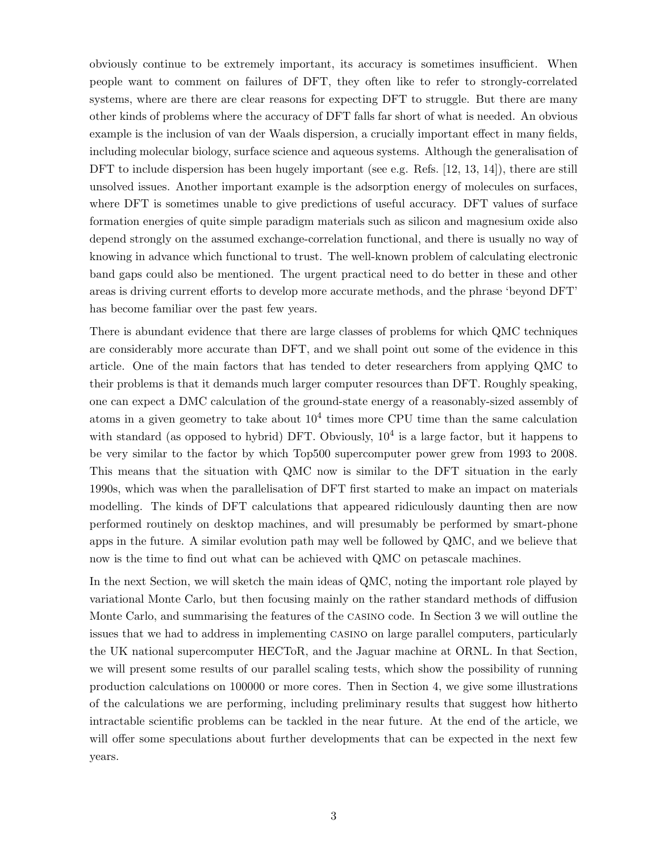obviously continue to be extremely important, its accuracy is sometimes insufficient. When people want to comment on failures of DFT, they often like to refer to strongly-correlated systems, where are there are clear reasons for expecting DFT to struggle. But there are many other kinds of problems where the accuracy of DFT falls far short of what is needed. An obvious example is the inclusion of van der Waals dispersion, a crucially important effect in many fields, including molecular biology, surface science and aqueous systems. Although the generalisation of DFT to include dispersion has been hugely important (see e.g. Refs. [12, 13, 14]), there are still unsolved issues. Another important example is the adsorption energy of molecules on surfaces, where DFT is sometimes unable to give predictions of useful accuracy. DFT values of surface formation energies of quite simple paradigm materials such as silicon and magnesium oxide also depend strongly on the assumed exchange-correlation functional, and there is usually no way of knowing in advance which functional to trust. The well-known problem of calculating electronic band gaps could also be mentioned. The urgent practical need to do better in these and other areas is driving current efforts to develop more accurate methods, and the phrase 'beyond DFT' has become familiar over the past few years.

There is abundant evidence that there are large classes of problems for which QMC techniques are considerably more accurate than DFT, and we shall point out some of the evidence in this article. One of the main factors that has tended to deter researchers from applying QMC to their problems is that it demands much larger computer resources than DFT. Roughly speaking, one can expect a DMC calculation of the ground-state energy of a reasonably-sized assembly of atoms in a given geometry to take about  $10^4$  times more CPU time than the same calculation with standard (as opposed to hybrid) DFT. Obviously,  $10<sup>4</sup>$  is a large factor, but it happens to be very similar to the factor by which Top500 supercomputer power grew from 1993 to 2008. This means that the situation with QMC now is similar to the DFT situation in the early 1990s, which was when the parallelisation of DFT first started to make an impact on materials modelling. The kinds of DFT calculations that appeared ridiculously daunting then are now performed routinely on desktop machines, and will presumably be performed by smart-phone apps in the future. A similar evolution path may well be followed by QMC, and we believe that now is the time to find out what can be achieved with QMC on petascale machines.

In the next Section, we will sketch the main ideas of QMC, noting the important role played by variational Monte Carlo, but then focusing mainly on the rather standard methods of diffusion Monte Carlo, and summarising the features of the casino code. In Section 3 we will outline the issues that we had to address in implementing casino on large parallel computers, particularly the UK national supercomputer HECToR, and the Jaguar machine at ORNL. In that Section, we will present some results of our parallel scaling tests, which show the possibility of running production calculations on 100000 or more cores. Then in Section 4, we give some illustrations of the calculations we are performing, including preliminary results that suggest how hitherto intractable scientific problems can be tackled in the near future. At the end of the article, we will offer some speculations about further developments that can be expected in the next few years.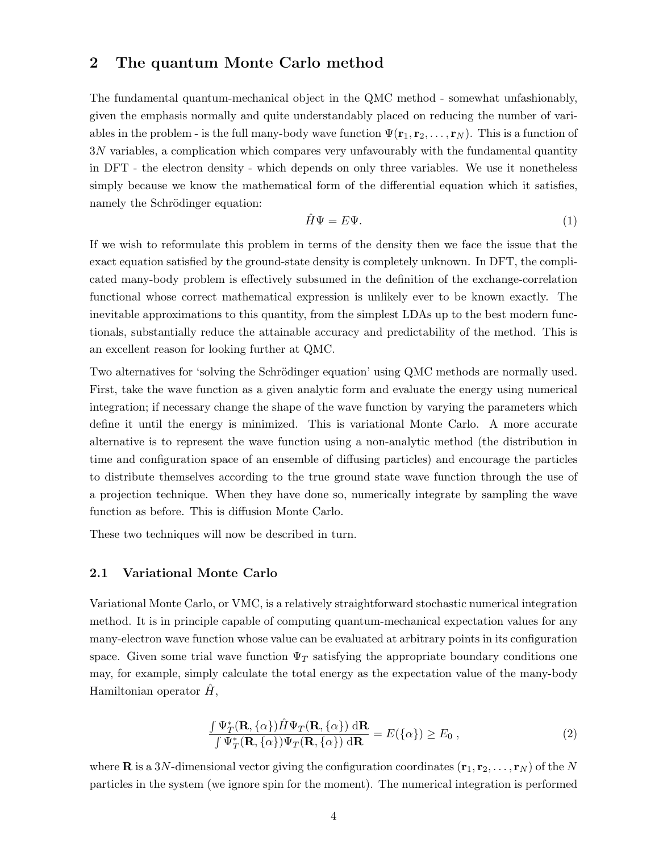## 2 The quantum Monte Carlo method

The fundamental quantum-mechanical object in the QMC method - somewhat unfashionably, given the emphasis normally and quite understandably placed on reducing the number of variables in the problem - is the full many-body wave function  $\Psi(\mathbf{r}_1, \mathbf{r}_2, \ldots, \mathbf{r}_N)$ . This is a function of 3N variables, a complication which compares very unfavourably with the fundamental quantity in DFT - the electron density - which depends on only three variables. We use it nonetheless simply because we know the mathematical form of the differential equation which it satisfies, namely the Schrödinger equation:

$$
\hat{H}\Psi = E\Psi.
$$
\n<sup>(1)</sup>

If we wish to reformulate this problem in terms of the density then we face the issue that the exact equation satisfied by the ground-state density is completely unknown. In DFT, the complicated many-body problem is effectively subsumed in the definition of the exchange-correlation functional whose correct mathematical expression is unlikely ever to be known exactly. The inevitable approximations to this quantity, from the simplest LDAs up to the best modern functionals, substantially reduce the attainable accuracy and predictability of the method. This is an excellent reason for looking further at QMC.

Two alternatives for 'solving the Schrödinger equation' using QMC methods are normally used. First, take the wave function as a given analytic form and evaluate the energy using numerical integration; if necessary change the shape of the wave function by varying the parameters which define it until the energy is minimized. This is variational Monte Carlo. A more accurate alternative is to represent the wave function using a non-analytic method (the distribution in time and configuration space of an ensemble of diffusing particles) and encourage the particles to distribute themselves according to the true ground state wave function through the use of a projection technique. When they have done so, numerically integrate by sampling the wave function as before. This is diffusion Monte Carlo.

These two techniques will now be described in turn.

#### 2.1 Variational Monte Carlo

Variational Monte Carlo, or VMC, is a relatively straightforward stochastic numerical integration method. It is in principle capable of computing quantum-mechanical expectation values for any many-electron wave function whose value can be evaluated at arbitrary points in its configuration space. Given some trial wave function  $\Psi_T$  satisfying the appropriate boundary conditions one may, for example, simply calculate the total energy as the expectation value of the many-body Hamiltonian operator  $\hat{H}$ ,

$$
\frac{\int \Psi_T^*(\mathbf{R}, \{\alpha\}) \hat{H} \Psi_T(\mathbf{R}, \{\alpha\}) \, d\mathbf{R}}{\int \Psi_T^*(\mathbf{R}, \{\alpha\}) \Psi_T(\mathbf{R}, \{\alpha\}) \, d\mathbf{R}} = E(\{\alpha\}) \ge E_0 \,,\tag{2}
$$

where **R** is a 3N-dimensional vector giving the configuration coordinates  $(\mathbf{r}_1, \mathbf{r}_2, \dots, \mathbf{r}_N)$  of the N particles in the system (we ignore spin for the moment). The numerical integration is performed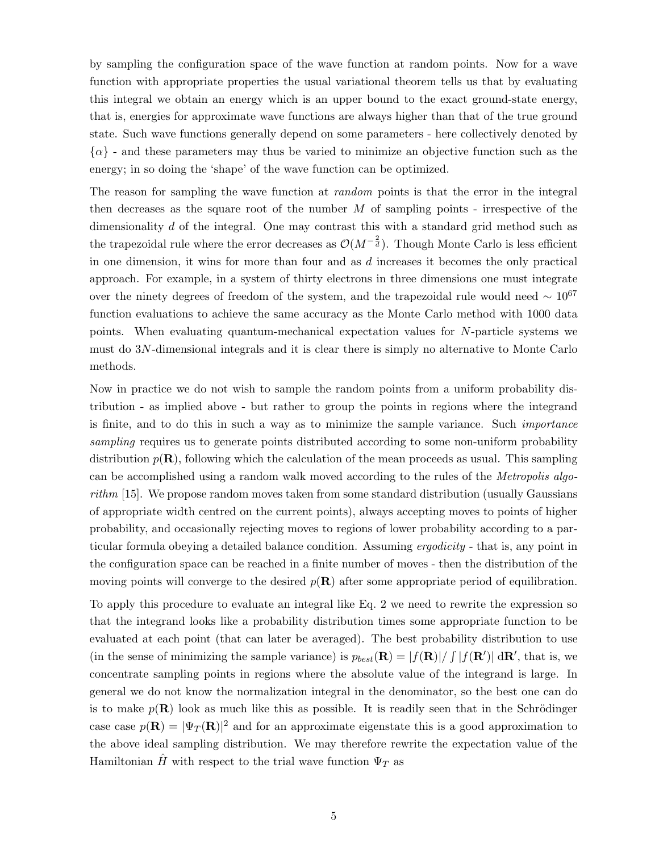by sampling the configuration space of the wave function at random points. Now for a wave function with appropriate properties the usual variational theorem tells us that by evaluating this integral we obtain an energy which is an upper bound to the exact ground-state energy, that is, energies for approximate wave functions are always higher than that of the true ground state. Such wave functions generally depend on some parameters - here collectively denoted by  $\{\alpha\}$  - and these parameters may thus be varied to minimize an objective function such as the energy; in so doing the 'shape' of the wave function can be optimized.

The reason for sampling the wave function at *random* points is that the error in the integral then decreases as the square root of the number  $M$  of sampling points - irrespective of the dimensionality d of the integral. One may contrast this with a standard grid method such as the trapezoidal rule where the error decreases as  $\mathcal{O}(M^{-\frac{2}{d}})$ . Though Monte Carlo is less efficient in one dimension, it wins for more than four and as  $d$  increases it becomes the only practical approach. For example, in a system of thirty electrons in three dimensions one must integrate over the ninety degrees of freedom of the system, and the trapezoidal rule would need  $\sim 10^{67}$ function evaluations to achieve the same accuracy as the Monte Carlo method with 1000 data points. When evaluating quantum-mechanical expectation values for N-particle systems we must do 3N-dimensional integrals and it is clear there is simply no alternative to Monte Carlo methods.

Now in practice we do not wish to sample the random points from a uniform probability distribution - as implied above - but rather to group the points in regions where the integrand is finite, and to do this in such a way as to minimize the sample variance. Such importance sampling requires us to generate points distributed according to some non-uniform probability distribution  $p(\mathbf{R})$ , following which the calculation of the mean proceeds as usual. This sampling can be accomplished using a random walk moved according to the rules of the Metropolis algorithm [15]. We propose random moves taken from some standard distribution (usually Gaussians of appropriate width centred on the current points), always accepting moves to points of higher probability, and occasionally rejecting moves to regions of lower probability according to a particular formula obeying a detailed balance condition. Assuming ergodicity - that is, any point in the configuration space can be reached in a finite number of moves - then the distribution of the moving points will converge to the desired  $p(\mathbf{R})$  after some appropriate period of equilibration.

To apply this procedure to evaluate an integral like Eq. 2 we need to rewrite the expression so that the integrand looks like a probability distribution times some appropriate function to be evaluated at each point (that can later be averaged). The best probability distribution to use (in the sense of minimizing the sample variance) is  $p_{best}(\mathbf{R}) = |f(\mathbf{R})| / \int |f(\mathbf{R'})| \, d\mathbf{R'}$ , that is, we concentrate sampling points in regions where the absolute value of the integrand is large. In general we do not know the normalization integral in the denominator, so the best one can do is to make  $p(\mathbf{R})$  look as much like this as possible. It is readily seen that in the Schrödinger case case  $p(\mathbf{R}) = |\Psi_T(\mathbf{R})|^2$  and for an approximate eigenstate this is a good approximation to the above ideal sampling distribution. We may therefore rewrite the expectation value of the Hamiltonian  $\hat{H}$  with respect to the trial wave function  $\Psi_T$  as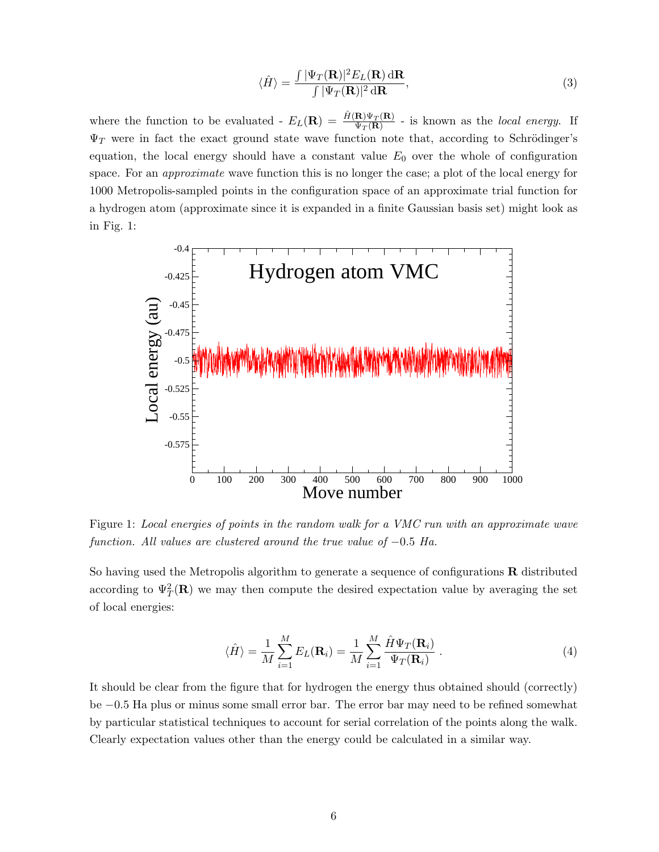$$
\langle \hat{H} \rangle = \frac{\int |\Psi_T(\mathbf{R})|^2 E_L(\mathbf{R}) \, d\mathbf{R}}{\int |\Psi_T(\mathbf{R})|^2 \, d\mathbf{R}},\tag{3}
$$

where the function to be evaluated -  $E_L(\mathbf{R}) = \frac{\hat{H}(\mathbf{R}) \Psi_T(\mathbf{R})}{\Psi_T(\mathbf{R})}$  - is known as the *local energy*. If  $\Psi_T$  were in fact the exact ground state wave function note that, according to Schrödinger's equation, the local energy should have a constant value  $E_0$  over the whole of configuration space. For an *approximate* wave function this is no longer the case; a plot of the local energy for 1000 Metropolis-sampled points in the configuration space of an approximate trial function for a hydrogen atom (approximate since it is expanded in a finite Gaussian basis set) might look as in Fig. 1:



Figure 1: Local energies of points in the random walk for a VMC run with an approximate wave function. All values are clustered around the true value of  $-0.5$  Ha.

So having used the Metropolis algorithm to generate a sequence of configurations  $\bf R$  distributed according to  $\Psi_T^2(\mathbf{R})$  we may then compute the desired expectation value by averaging the set of local energies:

$$
\langle \hat{H} \rangle = \frac{1}{M} \sum_{i=1}^{M} E_L(\mathbf{R}_i) = \frac{1}{M} \sum_{i=1}^{M} \frac{\hat{H} \Psi_T(\mathbf{R}_i)}{\Psi_T(\mathbf{R}_i)} \,. \tag{4}
$$

It should be clear from the figure that for hydrogen the energy thus obtained should (correctly) be −0.5 Ha plus or minus some small error bar. The error bar may need to be refined somewhat by particular statistical techniques to account for serial correlation of the points along the walk. Clearly expectation values other than the energy could be calculated in a similar way.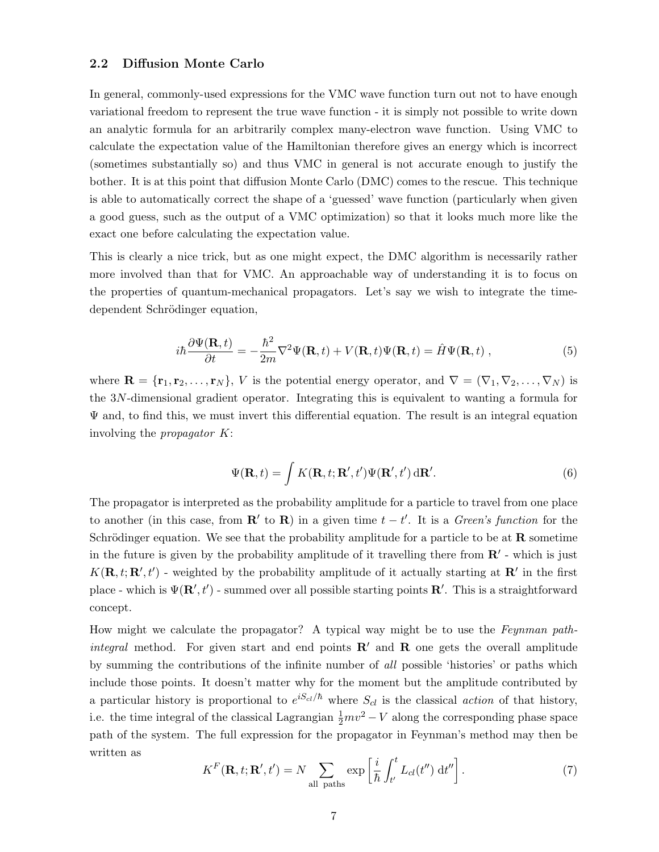#### 2.2 Diffusion Monte Carlo

In general, commonly-used expressions for the VMC wave function turn out not to have enough variational freedom to represent the true wave function - it is simply not possible to write down an analytic formula for an arbitrarily complex many-electron wave function. Using VMC to calculate the expectation value of the Hamiltonian therefore gives an energy which is incorrect (sometimes substantially so) and thus VMC in general is not accurate enough to justify the bother. It is at this point that diffusion Monte Carlo (DMC) comes to the rescue. This technique is able to automatically correct the shape of a 'guessed' wave function (particularly when given a good guess, such as the output of a VMC optimization) so that it looks much more like the exact one before calculating the expectation value.

This is clearly a nice trick, but as one might expect, the DMC algorithm is necessarily rather more involved than that for VMC. An approachable way of understanding it is to focus on the properties of quantum-mechanical propagators. Let's say we wish to integrate the timedependent Schrödinger equation,

$$
i\hbar \frac{\partial \Psi(\mathbf{R},t)}{\partial t} = -\frac{\hbar^2}{2m} \nabla^2 \Psi(\mathbf{R},t) + V(\mathbf{R},t) \Psi(\mathbf{R},t) = \hat{H} \Psi(\mathbf{R},t) ,
$$
 (5)

where  $\mathbf{R} = {\mathbf{r}_1, \mathbf{r}_2, \ldots, \mathbf{r}_N}$ , V is the potential energy operator, and  $\nabla = (\nabla_1, \nabla_2, \ldots, \nabla_N)$  is the 3N-dimensional gradient operator. Integrating this is equivalent to wanting a formula for  $\Psi$  and, to find this, we must invert this differential equation. The result is an integral equation involving the propagator K:

$$
\Psi(\mathbf{R},t) = \int K(\mathbf{R},t;\mathbf{R}',t')\Psi(\mathbf{R}',t')\,\mathrm{d}\mathbf{R}'.
$$
\n(6)

The propagator is interpreted as the probability amplitude for a particle to travel from one place to another (in this case, from  $\mathbf{R}'$  to  $\mathbf{R}$ ) in a given time  $t - t'$ . It is a *Green's function* for the Schrödinger equation. We see that the probability amplitude for a particle to be at  $\bf{R}$  sometime in the future is given by the probability amplitude of it travelling there from  $\mathbb{R}'$  - which is just  $K(\mathbf{R}, t; \mathbf{R}', t')$  - weighted by the probability amplitude of it actually starting at  $\mathbf{R}'$  in the first place - which is  $\Psi(\mathbf{R}', t')$  - summed over all possible starting points  $\mathbf{R}'$ . This is a straightforward concept.

How might we calculate the propagator? A typical way might be to use the Feynman pathintegral method. For given start and end points  $\mathbf{R}'$  and  $\mathbf{R}$  one gets the overall amplitude by summing the contributions of the infinite number of all possible 'histories' or paths which include those points. It doesn't matter why for the moment but the amplitude contributed by a particular history is proportional to  $e^{iS_{cl}/\hbar}$  where  $S_{cl}$  is the classical *action* of that history, i.e. the time integral of the classical Lagrangian  $\frac{1}{2}mv^2 - V$  along the corresponding phase space path of the system. The full expression for the propagator in Feynman's method may then be written as

$$
K^{F}(\mathbf{R},t;\mathbf{R}',t') = N \sum_{\text{all paths}} \exp\left[\frac{i}{\hbar} \int_{t'}^{t} L_{cl}(t'') dt''\right].
$$
 (7)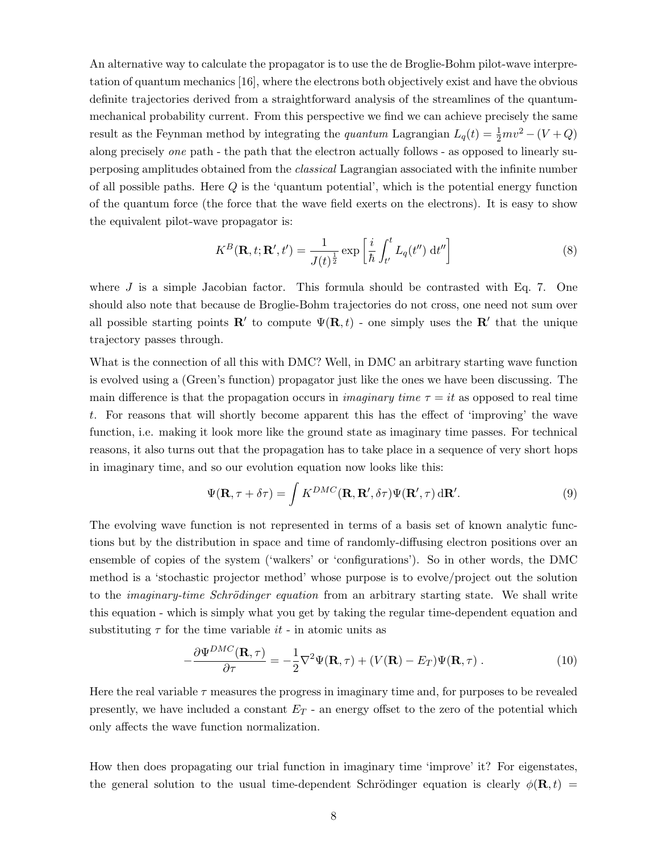An alternative way to calculate the propagator is to use the de Broglie-Bohm pilot-wave interpretation of quantum mechanics [16], where the electrons both objectively exist and have the obvious definite trajectories derived from a straightforward analysis of the streamlines of the quantummechanical probability current. From this perspective we find we can achieve precisely the same result as the Feynman method by integrating the *quantum* Lagrangian  $L_q(t) = \frac{1}{2}mv^2 - (V + Q)$ along precisely one path - the path that the electron actually follows - as opposed to linearly superposing amplitudes obtained from the *classical* Lagrangian associated with the infinite number of all possible paths. Here  $Q$  is the 'quantum potential', which is the potential energy function of the quantum force (the force that the wave field exerts on the electrons). It is easy to show the equivalent pilot-wave propagator is:

$$
K^{B}(\mathbf{R},t;\mathbf{R}',t') = \frac{1}{J(t)^{\frac{1}{2}}} \exp\left[\frac{i}{\hbar} \int_{t'}^{t} L_{q}(t'') dt''\right]
$$
(8)

where  $J$  is a simple Jacobian factor. This formula should be contrasted with Eq. 7. One should also note that because de Broglie-Bohm trajectories do not cross, one need not sum over all possible starting points **R**<sup>'</sup> to compute  $\Psi(\mathbf{R}, t)$  - one simply uses the **R**<sup>'</sup> that the unique trajectory passes through.

What is the connection of all this with DMC? Well, in DMC an arbitrary starting wave function is evolved using a (Green's function) propagator just like the ones we have been discussing. The main difference is that the propagation occurs in *imaginary time*  $\tau = it$  as opposed to real time t. For reasons that will shortly become apparent this has the effect of 'improving' the wave function, i.e. making it look more like the ground state as imaginary time passes. For technical reasons, it also turns out that the propagation has to take place in a sequence of very short hops in imaginary time, and so our evolution equation now looks like this:

$$
\Psi(\mathbf{R}, \tau + \delta \tau) = \int K^{DMC}(\mathbf{R}, \mathbf{R}', \delta \tau) \Psi(\mathbf{R}', \tau) d\mathbf{R}'.
$$
\n(9)

The evolving wave function is not represented in terms of a basis set of known analytic functions but by the distribution in space and time of randomly-diffusing electron positions over an ensemble of copies of the system ('walkers' or 'configurations'). So in other words, the DMC method is a 'stochastic projector method' whose purpose is to evolve/project out the solution to the *imaginary-time Schrödinger equation* from an arbitrary starting state. We shall write this equation - which is simply what you get by taking the regular time-dependent equation and substituting  $\tau$  for the time variable *it* - in atomic units as

$$
-\frac{\partial \Psi^{DMC}(\mathbf{R},\tau)}{\partial \tau} = -\frac{1}{2}\nabla^2 \Psi(\mathbf{R},\tau) + (V(\mathbf{R}) - E_T)\Psi(\mathbf{R},\tau) . \tag{10}
$$

Here the real variable  $\tau$  measures the progress in imaginary time and, for purposes to be revealed presently, we have included a constant  $E_T$  - an energy offset to the zero of the potential which only affects the wave function normalization.

How then does propagating our trial function in imaginary time 'improve' it? For eigenstates, the general solution to the usual time-dependent Schrödinger equation is clearly  $\phi(\mathbf{R}, t)$  =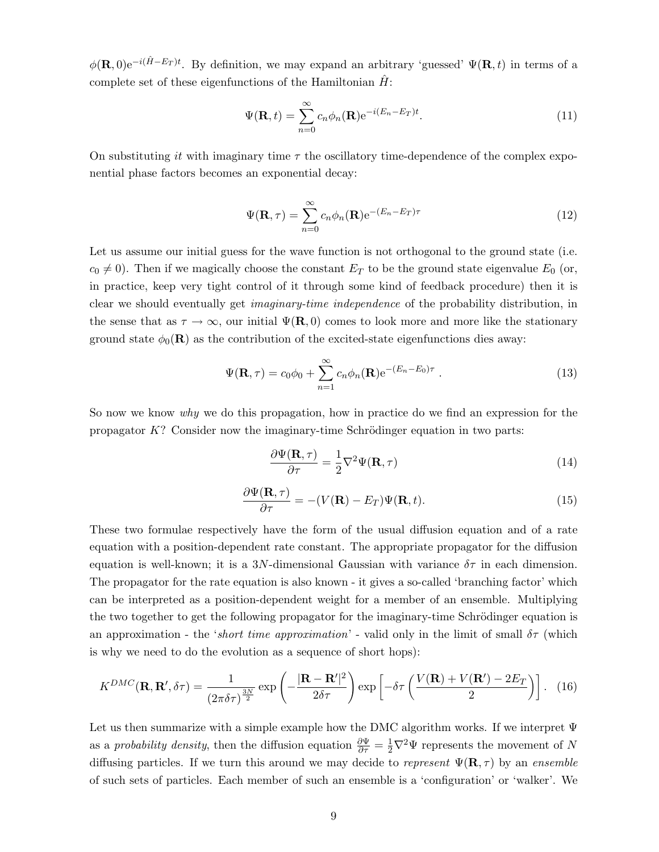$\phi(\mathbf{R},0)e^{-i(\hat{H}-E_T)t}$ . By definition, we may expand an arbitrary 'guessed'  $\Psi(\mathbf{R},t)$  in terms of a complete set of these eigenfunctions of the Hamiltonian  $\hat{H}$ :

$$
\Psi(\mathbf{R},t) = \sum_{n=0}^{\infty} c_n \phi_n(\mathbf{R}) e^{-i(E_n - E_T)t}.
$$
\n(11)

On substituting it with imaginary time  $\tau$  the oscillatory time-dependence of the complex exponential phase factors becomes an exponential decay:

$$
\Psi(\mathbf{R},\tau) = \sum_{n=0}^{\infty} c_n \phi_n(\mathbf{R}) e^{-(E_n - E_T)\tau}
$$
\n(12)

Let us assume our initial guess for the wave function is not orthogonal to the ground state (i.e.  $c_0 \neq 0$ ). Then if we magically choose the constant  $E_T$  to be the ground state eigenvalue  $E_0$  (or, in practice, keep very tight control of it through some kind of feedback procedure) then it is clear we should eventually get imaginary-time independence of the probability distribution, in the sense that as  $\tau \to \infty$ , our initial  $\Psi(\mathbf{R},0)$  comes to look more and more like the stationary ground state  $\phi_0(\mathbf{R})$  as the contribution of the excited-state eigenfunctions dies away:

$$
\Psi(\mathbf{R},\tau) = c_0 \phi_0 + \sum_{n=1}^{\infty} c_n \phi_n(\mathbf{R}) e^{-(E_n - E_0)\tau} . \qquad (13)
$$

So now we know why we do this propagation, how in practice do we find an expression for the propagator  $K$ ? Consider now the imaginary-time Schrödinger equation in two parts:

$$
\frac{\partial \Psi(\mathbf{R}, \tau)}{\partial \tau} = \frac{1}{2} \nabla^2 \Psi(\mathbf{R}, \tau) \tag{14}
$$

$$
\frac{\partial \Psi(\mathbf{R}, \tau)}{\partial \tau} = -(V(\mathbf{R}) - E_T)\Psi(\mathbf{R}, t). \tag{15}
$$

These two formulae respectively have the form of the usual diffusion equation and of a rate equation with a position-dependent rate constant. The appropriate propagator for the diffusion equation is well-known; it is a 3N-dimensional Gaussian with variance  $\delta\tau$  in each dimension. The propagator for the rate equation is also known - it gives a so-called 'branching factor' which can be interpreted as a position-dependent weight for a member of an ensemble. Multiplying the two together to get the following propagator for the imaginary-time Schrödinger equation is an approximation - the 'short time approximation' - valid only in the limit of small  $\delta\tau$  (which is why we need to do the evolution as a sequence of short hops):

$$
K^{DMC}(\mathbf{R}, \mathbf{R}', \delta \tau) = \frac{1}{(2\pi \delta \tau)^{\frac{3N}{2}}} \exp\left(-\frac{|\mathbf{R} - \mathbf{R}'|^2}{2\delta \tau}\right) \exp\left[-\delta \tau \left(\frac{V(\mathbf{R}) + V(\mathbf{R}') - 2E_T}{2}\right)\right].
$$
 (16)

Let us then summarize with a simple example how the DMC algorithm works. If we interpret  $\Psi$ as a *probability density*, then the diffusion equation  $\frac{\partial \Psi}{\partial \tau} = \frac{1}{2} \nabla^2 \Psi$  represents the movement of N diffusing particles. If we turn this around we may decide to represent  $\Psi(\mathbf{R}, \tau)$  by an ensemble of such sets of particles. Each member of such an ensemble is a 'configuration' or 'walker'. We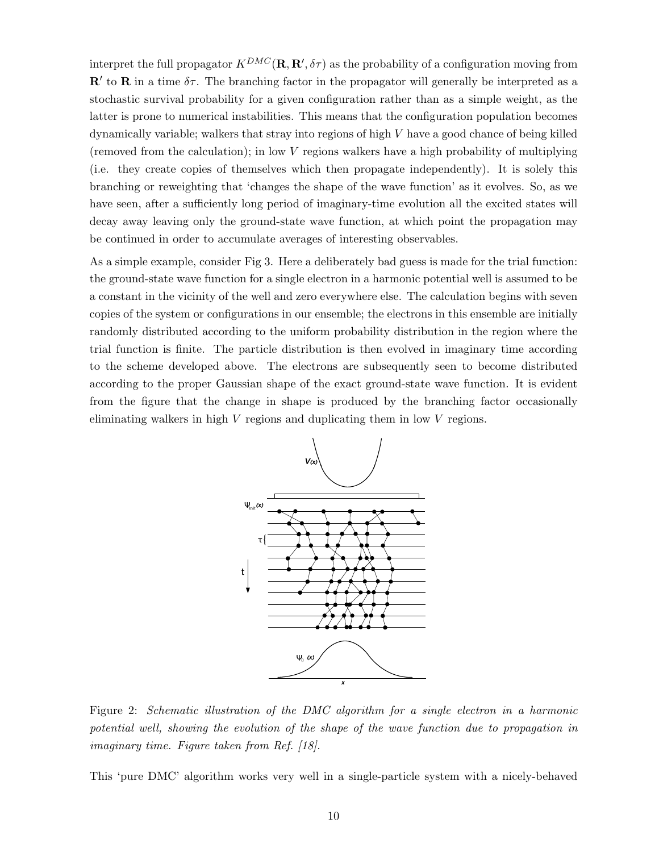interpret the full propagator  $K^{DMC}(\mathbf{R}, \mathbf{R}', \delta \tau)$  as the probability of a configuration moving from  $\mathbb{R}^{\prime}$  to  $\mathbb{R}$  in a time  $\delta \tau$ . The branching factor in the propagator will generally be interpreted as a stochastic survival probability for a given configuration rather than as a simple weight, as the latter is prone to numerical instabilities. This means that the configuration population becomes dynamically variable; walkers that stray into regions of high V have a good chance of being killed (removed from the calculation); in low V regions walkers have a high probability of multiplying (i.e. they create copies of themselves which then propagate independently). It is solely this branching or reweighting that 'changes the shape of the wave function' as it evolves. So, as we have seen, after a sufficiently long period of imaginary-time evolution all the excited states will decay away leaving only the ground-state wave function, at which point the propagation may be continued in order to accumulate averages of interesting observables.

As a simple example, consider Fig 3. Here a deliberately bad guess is made for the trial function: the ground-state wave function for a single electron in a harmonic potential well is assumed to be a constant in the vicinity of the well and zero everywhere else. The calculation begins with seven copies of the system or configurations in our ensemble; the electrons in this ensemble are initially randomly distributed according to the uniform probability distribution in the region where the trial function is finite. The particle distribution is then evolved in imaginary time according to the scheme developed above. The electrons are subsequently seen to become distributed according to the proper Gaussian shape of the exact ground-state wave function. It is evident from the figure that the change in shape is produced by the branching factor occasionally eliminating walkers in high  $V$  regions and duplicating them in low  $V$  regions.



Figure 2: Schematic illustration of the DMC algorithm for a single electron in a harmonic potential well, showing the evolution of the shape of the wave function due to propagation in imaginary time. Figure taken from Ref. [18].

This 'pure DMC' algorithm works very well in a single-particle system with a nicely-behaved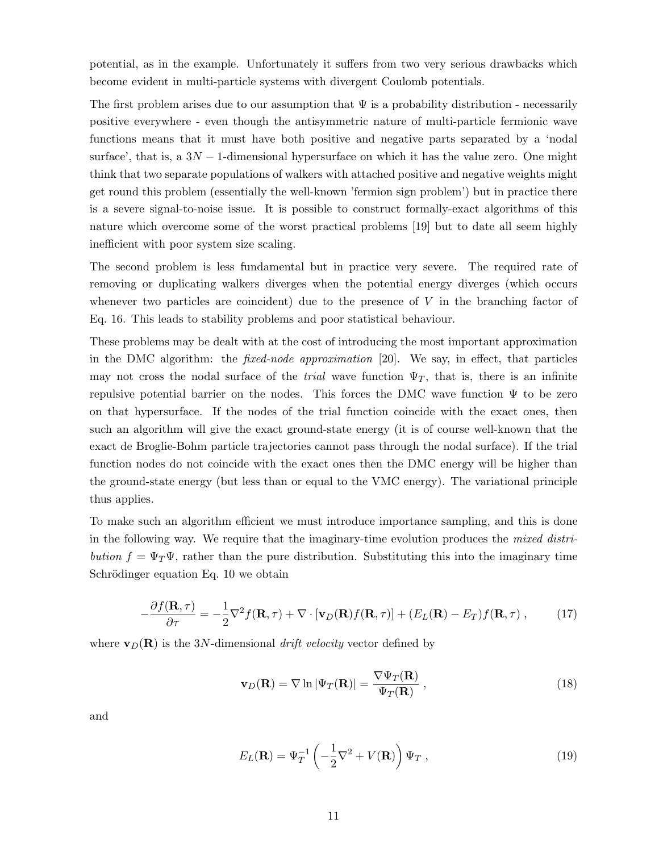potential, as in the example. Unfortunately it suffers from two very serious drawbacks which become evident in multi-particle systems with divergent Coulomb potentials.

The first problem arises due to our assumption that  $\Psi$  is a probability distribution - necessarily positive everywhere - even though the antisymmetric nature of multi-particle fermionic wave functions means that it must have both positive and negative parts separated by a 'nodal surface', that is, a  $3N-1$ -dimensional hypersurface on which it has the value zero. One might think that two separate populations of walkers with attached positive and negative weights might get round this problem (essentially the well-known 'fermion sign problem') but in practice there is a severe signal-to-noise issue. It is possible to construct formally-exact algorithms of this nature which overcome some of the worst practical problems [19] but to date all seem highly inefficient with poor system size scaling.

The second problem is less fundamental but in practice very severe. The required rate of removing or duplicating walkers diverges when the potential energy diverges (which occurs whenever two particles are coincident) due to the presence of  $V$  in the branching factor of Eq. 16. This leads to stability problems and poor statistical behaviour.

These problems may be dealt with at the cost of introducing the most important approximation in the DMC algorithm: the fixed-node approximation [20]. We say, in effect, that particles may not cross the nodal surface of the *trial* wave function  $\Psi_T$ , that is, there is an infinite repulsive potential barrier on the nodes. This forces the DMC wave function  $\Psi$  to be zero on that hypersurface. If the nodes of the trial function coincide with the exact ones, then such an algorithm will give the exact ground-state energy (it is of course well-known that the exact de Broglie-Bohm particle trajectories cannot pass through the nodal surface). If the trial function nodes do not coincide with the exact ones then the DMC energy will be higher than the ground-state energy (but less than or equal to the VMC energy). The variational principle thus applies.

To make such an algorithm efficient we must introduce importance sampling, and this is done in the following way. We require that the imaginary-time evolution produces the mixed distribution  $f = \Psi_T \Psi$ , rather than the pure distribution. Substituting this into the imaginary time Schrödinger equation Eq. 10 we obtain

$$
-\frac{\partial f(\mathbf{R},\tau)}{\partial \tau} = -\frac{1}{2}\nabla^2 f(\mathbf{R},\tau) + \nabla \cdot [\mathbf{v}_D(\mathbf{R})f(\mathbf{R},\tau)] + (E_L(\mathbf{R}) - E_T)f(\mathbf{R},\tau) ,\qquad (17)
$$

where  $\mathbf{v}_D(\mathbf{R})$  is the 3N-dimensional drift velocity vector defined by

$$
\mathbf{v}_D(\mathbf{R}) = \nabla \ln |\Psi_T(\mathbf{R})| = \frac{\nabla \Psi_T(\mathbf{R})}{\Psi_T(\mathbf{R})},
$$
\n(18)

and

$$
E_L(\mathbf{R}) = \Psi_T^{-1} \left( -\frac{1}{2} \nabla^2 + V(\mathbf{R}) \right) \Psi_T , \qquad (19)
$$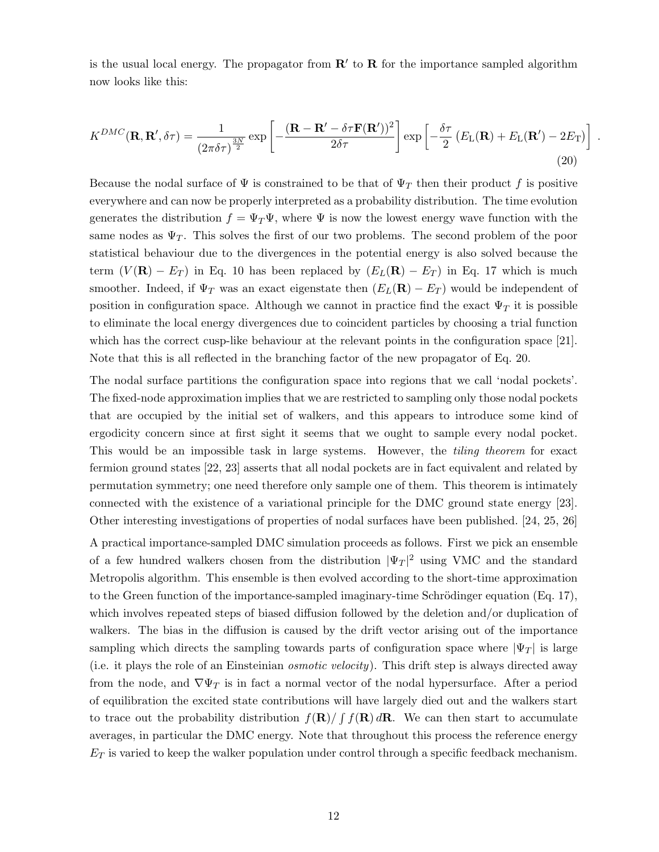is the usual local energy. The propagator from  $\mathbb{R}'$  to  $\mathbb{R}$  for the importance sampled algorithm now looks like this:

$$
K^{DMC}(\mathbf{R}, \mathbf{R}', \delta \tau) = \frac{1}{(2\pi \delta \tau)^{\frac{3N}{2}}} \exp\left[-\frac{(\mathbf{R} - \mathbf{R}' - \delta \tau \mathbf{F}(\mathbf{R}'))^2}{2\delta \tau}\right] \exp\left[-\frac{\delta \tau}{2} \left(E_{\text{L}}(\mathbf{R}) + E_{\text{L}}(\mathbf{R}') - 2E_{\text{T}}\right)\right].
$$
\n(20)

Because the nodal surface of  $\Psi$  is constrained to be that of  $\Psi_T$  then their product f is positive everywhere and can now be properly interpreted as a probability distribution. The time evolution generates the distribution  $f = \Psi_T \Psi$ , where  $\Psi$  is now the lowest energy wave function with the same nodes as  $\Psi_T$ . This solves the first of our two problems. The second problem of the poor statistical behaviour due to the divergences in the potential energy is also solved because the term  $(V(\mathbf{R}) - E_T)$  in Eq. 10 has been replaced by  $(E_L(\mathbf{R}) - E_T)$  in Eq. 17 which is much smoother. Indeed, if  $\Psi_T$  was an exact eigenstate then  $(E_L(\mathbf{R}) - E_T)$  would be independent of position in configuration space. Although we cannot in practice find the exact  $\Psi_T$  it is possible to eliminate the local energy divergences due to coincident particles by choosing a trial function which has the correct cusp-like behaviour at the relevant points in the configuration space [21]. Note that this is all reflected in the branching factor of the new propagator of Eq. 20.

The nodal surface partitions the configuration space into regions that we call 'nodal pockets'. The fixed-node approximation implies that we are restricted to sampling only those nodal pockets that are occupied by the initial set of walkers, and this appears to introduce some kind of ergodicity concern since at first sight it seems that we ought to sample every nodal pocket. This would be an impossible task in large systems. However, the *tiling theorem* for exact fermion ground states [22, 23] asserts that all nodal pockets are in fact equivalent and related by permutation symmetry; one need therefore only sample one of them. This theorem is intimately connected with the existence of a variational principle for the DMC ground state energy [23]. Other interesting investigations of properties of nodal surfaces have been published. [24, 25, 26]

A practical importance-sampled DMC simulation proceeds as follows. First we pick an ensemble of a few hundred walkers chosen from the distribution  $|\Psi_T|^2$  using VMC and the standard Metropolis algorithm. This ensemble is then evolved according to the short-time approximation to the Green function of the importance-sampled imaginary-time Schrödinger equation (Eq. 17), which involves repeated steps of biased diffusion followed by the deletion and/or duplication of walkers. The bias in the diffusion is caused by the drift vector arising out of the importance sampling which directs the sampling towards parts of configuration space where  $|\Psi_T|$  is large (i.e. it plays the role of an Einsteinian osmotic velocity). This drift step is always directed away from the node, and  $\nabla \Psi_T$  is in fact a normal vector of the nodal hypersurface. After a period of equilibration the excited state contributions will have largely died out and the walkers start to trace out the probability distribution  $f(\mathbf{R})/ \int f(\mathbf{R}) d\mathbf{R}$ . We can then start to accumulate averages, in particular the DMC energy. Note that throughout this process the reference energy  $E_T$  is varied to keep the walker population under control through a specific feedback mechanism.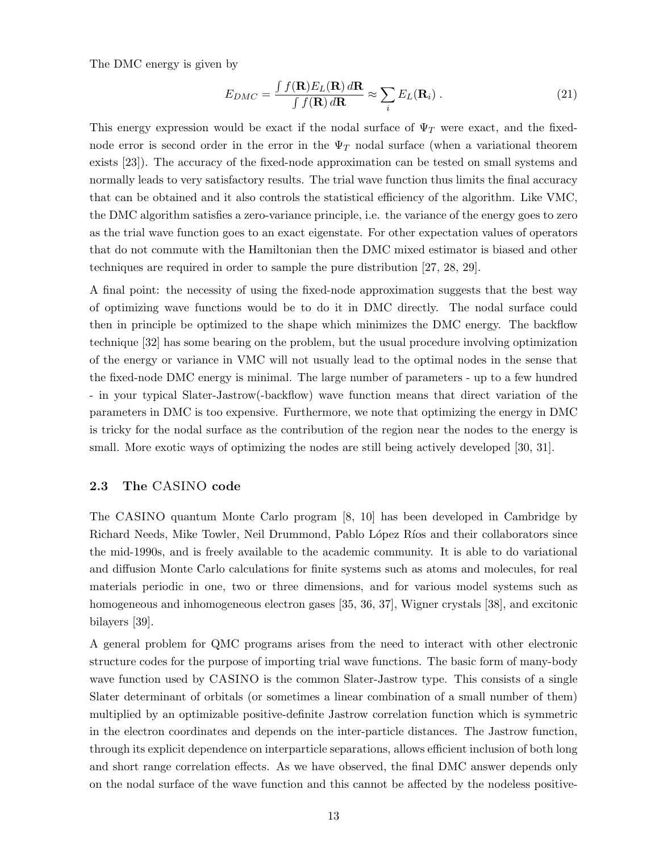The DMC energy is given by

$$
E_{DMC} = \frac{\int f(\mathbf{R}) E_L(\mathbf{R}) d\mathbf{R}}{\int f(\mathbf{R}) d\mathbf{R}} \approx \sum_i E_L(\mathbf{R}_i) .
$$
 (21)

This energy expression would be exact if the nodal surface of  $\Psi_T$  were exact, and the fixednode error is second order in the error in the  $\Psi_T$  nodal surface (when a variational theorem exists [23]). The accuracy of the fixed-node approximation can be tested on small systems and normally leads to very satisfactory results. The trial wave function thus limits the final accuracy that can be obtained and it also controls the statistical efficiency of the algorithm. Like VMC, the DMC algorithm satisfies a zero-variance principle, i.e. the variance of the energy goes to zero as the trial wave function goes to an exact eigenstate. For other expectation values of operators that do not commute with the Hamiltonian then the DMC mixed estimator is biased and other techniques are required in order to sample the pure distribution [27, 28, 29].

A final point: the necessity of using the fixed-node approximation suggests that the best way of optimizing wave functions would be to do it in DMC directly. The nodal surface could then in principle be optimized to the shape which minimizes the DMC energy. The backflow technique [32] has some bearing on the problem, but the usual procedure involving optimization of the energy or variance in VMC will not usually lead to the optimal nodes in the sense that the fixed-node DMC energy is minimal. The large number of parameters - up to a few hundred - in your typical Slater-Jastrow(-backflow) wave function means that direct variation of the parameters in DMC is too expensive. Furthermore, we note that optimizing the energy in DMC is tricky for the nodal surface as the contribution of the region near the nodes to the energy is small. More exotic ways of optimizing the nodes are still being actively developed [30, 31].

#### 2.3 The CASINO code

The CASINO quantum Monte Carlo program [8, 10] has been developed in Cambridge by Richard Needs, Mike Towler, Neil Drummond, Pablo López Ríos and their collaborators since the mid-1990s, and is freely available to the academic community. It is able to do variational and diffusion Monte Carlo calculations for finite systems such as atoms and molecules, for real materials periodic in one, two or three dimensions, and for various model systems such as homogeneous and inhomogeneous electron gases [35, 36, 37], Wigner crystals [38], and excitonic bilayers [39].

A general problem for QMC programs arises from the need to interact with other electronic structure codes for the purpose of importing trial wave functions. The basic form of many-body wave function used by CASINO is the common Slater-Jastrow type. This consists of a single Slater determinant of orbitals (or sometimes a linear combination of a small number of them) multiplied by an optimizable positive-definite Jastrow correlation function which is symmetric in the electron coordinates and depends on the inter-particle distances. The Jastrow function, through its explicit dependence on interparticle separations, allows efficient inclusion of both long and short range correlation effects. As we have observed, the final DMC answer depends only on the nodal surface of the wave function and this cannot be affected by the nodeless positive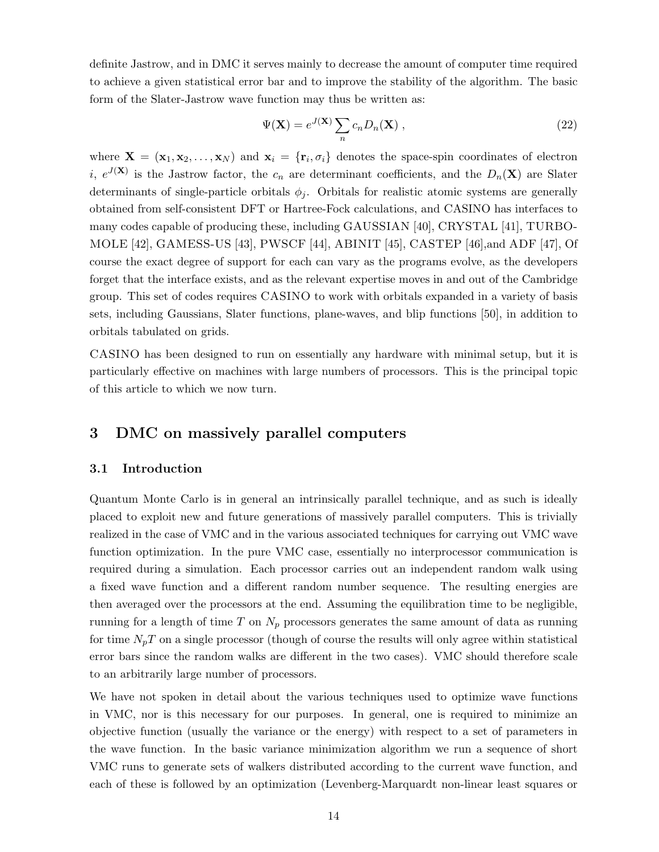definite Jastrow, and in DMC it serves mainly to decrease the amount of computer time required to achieve a given statistical error bar and to improve the stability of the algorithm. The basic form of the Slater-Jastrow wave function may thus be written as:

$$
\Psi(\mathbf{X}) = e^{J(\mathbf{X})} \sum_{n} c_n D_n(\mathbf{X}), \qquad (22)
$$

where  $\mathbf{X} = (\mathbf{x}_1, \mathbf{x}_2, \dots, \mathbf{x}_N)$  and  $\mathbf{x}_i = \{\mathbf{r}_i, \sigma_i\}$  denotes the space-spin coordinates of electron i,  $e^{J(X)}$  is the Jastrow factor, the  $c_n$  are determinant coefficients, and the  $D_n(X)$  are Slater determinants of single-particle orbitals  $\phi_i$ . Orbitals for realistic atomic systems are generally obtained from self-consistent DFT or Hartree-Fock calculations, and CASINO has interfaces to many codes capable of producing these, including GAUSSIAN [40], CRYSTAL [41], TURBO-MOLE [42], GAMESS-US [43], PWSCF [44], ABINIT [45], CASTEP [46],and ADF [47], Of course the exact degree of support for each can vary as the programs evolve, as the developers forget that the interface exists, and as the relevant expertise moves in and out of the Cambridge group. This set of codes requires CASINO to work with orbitals expanded in a variety of basis sets, including Gaussians, Slater functions, plane-waves, and blip functions [50], in addition to orbitals tabulated on grids.

CASINO has been designed to run on essentially any hardware with minimal setup, but it is particularly effective on machines with large numbers of processors. This is the principal topic of this article to which we now turn.

# 3 DMC on massively parallel computers

#### 3.1 Introduction

Quantum Monte Carlo is in general an intrinsically parallel technique, and as such is ideally placed to exploit new and future generations of massively parallel computers. This is trivially realized in the case of VMC and in the various associated techniques for carrying out VMC wave function optimization. In the pure VMC case, essentially no interprocessor communication is required during a simulation. Each processor carries out an independent random walk using a fixed wave function and a different random number sequence. The resulting energies are then averaged over the processors at the end. Assuming the equilibration time to be negligible, running for a length of time T on  $N_p$  processors generates the same amount of data as running for time  $N_pT$  on a single processor (though of course the results will only agree within statistical error bars since the random walks are different in the two cases). VMC should therefore scale to an arbitrarily large number of processors.

We have not spoken in detail about the various techniques used to optimize wave functions in VMC, nor is this necessary for our purposes. In general, one is required to minimize an objective function (usually the variance or the energy) with respect to a set of parameters in the wave function. In the basic variance minimization algorithm we run a sequence of short VMC runs to generate sets of walkers distributed according to the current wave function, and each of these is followed by an optimization (Levenberg-Marquardt non-linear least squares or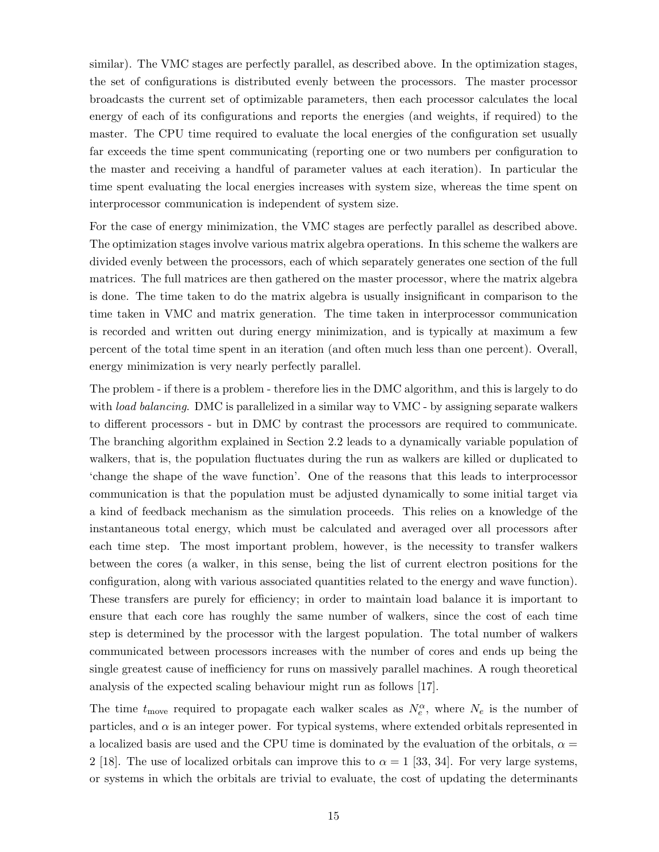similar). The VMC stages are perfectly parallel, as described above. In the optimization stages, the set of configurations is distributed evenly between the processors. The master processor broadcasts the current set of optimizable parameters, then each processor calculates the local energy of each of its configurations and reports the energies (and weights, if required) to the master. The CPU time required to evaluate the local energies of the configuration set usually far exceeds the time spent communicating (reporting one or two numbers per configuration to the master and receiving a handful of parameter values at each iteration). In particular the time spent evaluating the local energies increases with system size, whereas the time spent on interprocessor communication is independent of system size.

For the case of energy minimization, the VMC stages are perfectly parallel as described above. The optimization stages involve various matrix algebra operations. In this scheme the walkers are divided evenly between the processors, each of which separately generates one section of the full matrices. The full matrices are then gathered on the master processor, where the matrix algebra is done. The time taken to do the matrix algebra is usually insignificant in comparison to the time taken in VMC and matrix generation. The time taken in interprocessor communication is recorded and written out during energy minimization, and is typically at maximum a few percent of the total time spent in an iteration (and often much less than one percent). Overall, energy minimization is very nearly perfectly parallel.

The problem - if there is a problem - therefore lies in the DMC algorithm, and this is largely to do with *load balancing*. DMC is parallelized in a similar way to VMC - by assigning separate walkers to different processors - but in DMC by contrast the processors are required to communicate. The branching algorithm explained in Section 2.2 leads to a dynamically variable population of walkers, that is, the population fluctuates during the run as walkers are killed or duplicated to 'change the shape of the wave function'. One of the reasons that this leads to interprocessor communication is that the population must be adjusted dynamically to some initial target via a kind of feedback mechanism as the simulation proceeds. This relies on a knowledge of the instantaneous total energy, which must be calculated and averaged over all processors after each time step. The most important problem, however, is the necessity to transfer walkers between the cores (a walker, in this sense, being the list of current electron positions for the configuration, along with various associated quantities related to the energy and wave function). These transfers are purely for efficiency; in order to maintain load balance it is important to ensure that each core has roughly the same number of walkers, since the cost of each time step is determined by the processor with the largest population. The total number of walkers communicated between processors increases with the number of cores and ends up being the single greatest cause of inefficiency for runs on massively parallel machines. A rough theoretical analysis of the expected scaling behaviour might run as follows [17].

The time  $t_{\text{move}}$  required to propagate each walker scales as  $N_e^{\alpha}$ , where  $N_e$  is the number of particles, and  $\alpha$  is an integer power. For typical systems, where extended orbitals represented in a localized basis are used and the CPU time is dominated by the evaluation of the orbitals,  $\alpha =$ 2 [18]. The use of localized orbitals can improve this to  $\alpha = 1$  [33, 34]. For very large systems, or systems in which the orbitals are trivial to evaluate, the cost of updating the determinants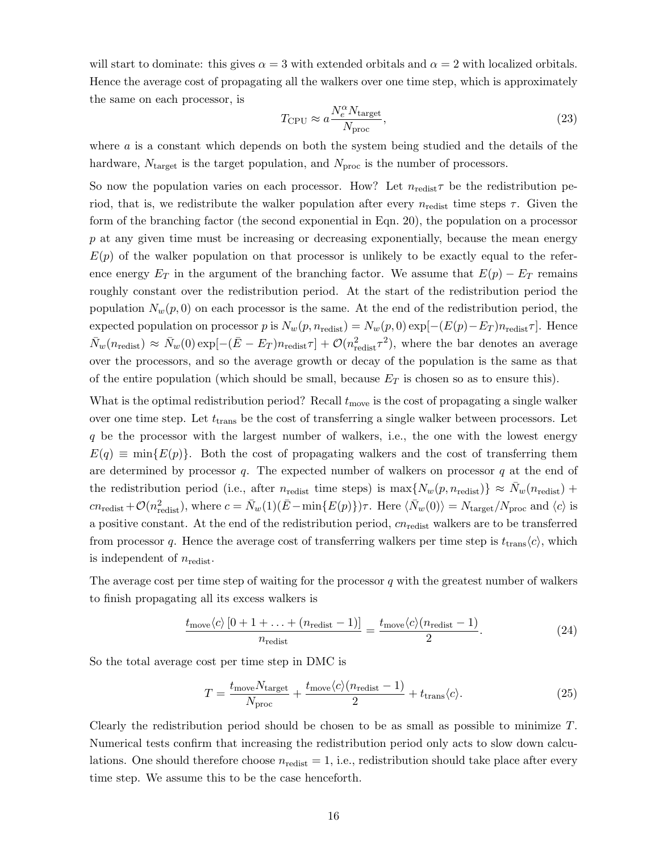will start to dominate: this gives  $\alpha = 3$  with extended orbitals and  $\alpha = 2$  with localized orbitals. Hence the average cost of propagating all the walkers over one time step, which is approximately the same on each processor, is

$$
T_{\rm CPU} \approx a \frac{N_e^{\alpha} N_{\rm target}}{N_{\rm proc}},
$$
\n(23)

where  $\alpha$  is a constant which depends on both the system being studied and the details of the hardware,  $N_{\text{target}}$  is the target population, and  $N_{\text{proc}}$  is the number of processors.

So now the population varies on each processor. How? Let  $n_{\text{redist}}\tau$  be the redistribution period, that is, we redistribute the walker population after every  $n_{\text{redist}}$  time steps  $\tau$ . Given the form of the branching factor (the second exponential in Eqn. 20), the population on a processor p at any given time must be increasing or decreasing exponentially, because the mean energy  $E(p)$  of the walker population on that processor is unlikely to be exactly equal to the reference energy  $E_T$  in the argument of the branching factor. We assume that  $E(p) - E_T$  remains roughly constant over the redistribution period. At the start of the redistribution period the population  $N_w(p, 0)$  on each processor is the same. At the end of the redistribution period, the expected population on processor p is  $N_w(p, n_{\text{redist}}) = N_w(p, 0) \exp[-(E(p) - E_T) n_{\text{redist}} \tau]$ . Hence  $\bar{N}_w(n_{\text{redist}}) \approx \bar{N}_w(0) \exp[-(\bar{E} - E_T) n_{\text{redist}} \tau] + \mathcal{O}(n_{\text{redist}}^2 \tau^2)$ , where the bar denotes an average over the processors, and so the average growth or decay of the population is the same as that of the entire population (which should be small, because  $E_T$  is chosen so as to ensure this).

What is the optimal redistribution period? Recall  $t_{\text{move}}$  is the cost of propagating a single walker over one time step. Let  $t_{trans}$  be the cost of transferring a single walker between processors. Let q be the processor with the largest number of walkers, i.e., the one with the lowest energy  $E(q) \equiv \min\{E(p)\}\.$  Both the cost of propagating walkers and the cost of transferring them are determined by processor  $q$ . The expected number of walkers on processor  $q$  at the end of the redistribution period (i.e., after  $n_{\text{redist}}$  time steps) is  $\max\{N_w(p, n_{\text{redist}})\}\approx \bar{N}_w(n_{\text{redist}})+$  $cn_{\text{redist}} + \mathcal{O}(n_{\text{redist}}^2)$ , where  $c = \bar{N}_w(1)(\bar{E} - \min\{E(p)\})\tau$ . Here  $\langle \bar{N}_w(0) \rangle = N_{\text{target}}/N_{\text{proc}}$  and  $\langle c \rangle$  is a positive constant. At the end of the redistribution period,  $cn_{\text{redist}}$  walkers are to be transferred from processor q. Hence the average cost of transferring walkers per time step is  $t_{trans}\langle c \rangle$ , which is independent of  $n_{\text{redist}}$ .

The average cost per time step of waiting for the processor q with the greatest number of walkers to finish propagating all its excess walkers is

$$
\frac{t_{\text{move}}\langle c\rangle\left[0+1+\ldots+\left(n_{\text{redist}}-1\right)\right]}{n_{\text{redist}}} = \frac{t_{\text{move}}\langle c\rangle\left(n_{\text{redist}}-1\right)}{2}.\tag{24}
$$

So the total average cost per time step in DMC is

$$
T = \frac{t_{\text{move}} N_{\text{target}}}{N_{\text{proc}}} + \frac{t_{\text{move}} \langle c \rangle (n_{\text{redist}} - 1)}{2} + t_{\text{trans}} \langle c \rangle.
$$
 (25)

Clearly the redistribution period should be chosen to be as small as possible to minimize  $T$ . Numerical tests confirm that increasing the redistribution period only acts to slow down calculations. One should therefore choose  $n_{\text{redist}} = 1$ , i.e., redistribution should take place after every time step. We assume this to be the case henceforth.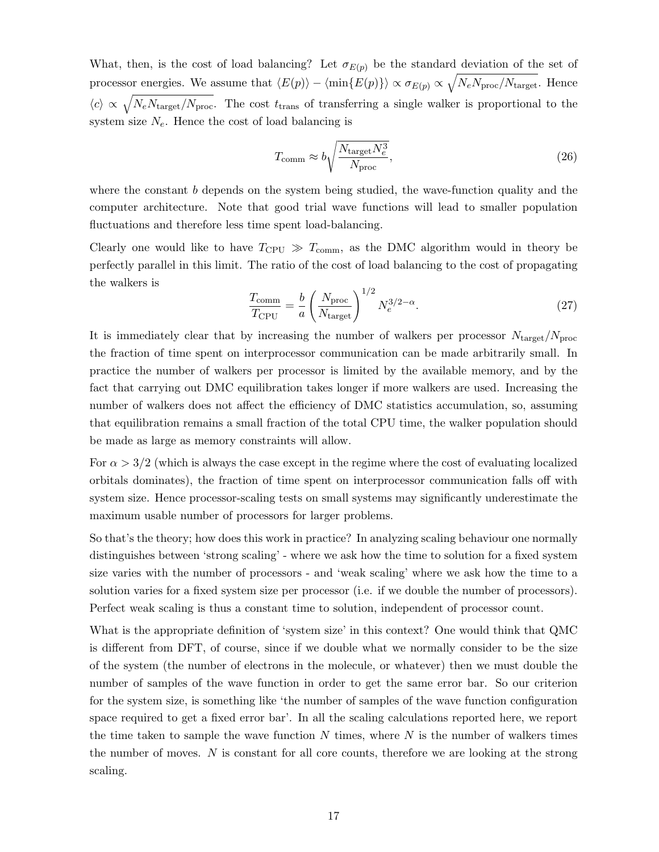What, then, is the cost of load balancing? Let  $\sigma_{E(p)}$  be the standard deviation of the set of processor energies. We assume that  $\langle E(p) \rangle - \langle \min\{E(p)\}\rangle \propto \sigma_{E(p)} \propto \sqrt{N_e N_{\text{proc}}/N_{\text{target}}}$ . Hence  $\langle c \rangle \propto \sqrt{N_e N_{\text{target}}/N_{\text{proc}}}$ . The cost  $t_{\text{trans}}$  of transferring a single walker is proportional to the system size  $N_e$ . Hence the cost of load balancing is

$$
T_{\text{comm}} \approx b \sqrt{\frac{N_{\text{target}} N_e^3}{N_{\text{proc}}}},\tag{26}
$$

where the constant  $b$  depends on the system being studied, the wave-function quality and the computer architecture. Note that good trial wave functions will lead to smaller population fluctuations and therefore less time spent load-balancing.

Clearly one would like to have  $T_{\text{CPU}} \gg T_{\text{comm}}$ , as the DMC algorithm would in theory be perfectly parallel in this limit. The ratio of the cost of load balancing to the cost of propagating the walkers is

$$
\frac{T_{\text{comm}}}{T_{\text{CPU}}} = \frac{b}{a} \left( \frac{N_{\text{proc}}}{N_{\text{target}}} \right)^{1/2} N_e^{3/2 - \alpha}.
$$
\n(27)

It is immediately clear that by increasing the number of walkers per processor  $N_{\text{target}}/N_{\text{proc}}$ the fraction of time spent on interprocessor communication can be made arbitrarily small. In practice the number of walkers per processor is limited by the available memory, and by the fact that carrying out DMC equilibration takes longer if more walkers are used. Increasing the number of walkers does not affect the efficiency of DMC statistics accumulation, so, assuming that equilibration remains a small fraction of the total CPU time, the walker population should be made as large as memory constraints will allow.

For  $\alpha > 3/2$  (which is always the case except in the regime where the cost of evaluating localized orbitals dominates), the fraction of time spent on interprocessor communication falls off with system size. Hence processor-scaling tests on small systems may significantly underestimate the maximum usable number of processors for larger problems.

So that's the theory; how does this work in practice? In analyzing scaling behaviour one normally distinguishes between 'strong scaling' - where we ask how the time to solution for a fixed system size varies with the number of processors - and 'weak scaling' where we ask how the time to a solution varies for a fixed system size per processor (i.e. if we double the number of processors). Perfect weak scaling is thus a constant time to solution, independent of processor count.

What is the appropriate definition of 'system size' in this context? One would think that QMC is different from DFT, of course, since if we double what we normally consider to be the size of the system (the number of electrons in the molecule, or whatever) then we must double the number of samples of the wave function in order to get the same error bar. So our criterion for the system size, is something like 'the number of samples of the wave function configuration space required to get a fixed error bar'. In all the scaling calculations reported here, we report the time taken to sample the wave function  $N$  times, where  $N$  is the number of walkers times the number of moves.  $N$  is constant for all core counts, therefore we are looking at the strong scaling.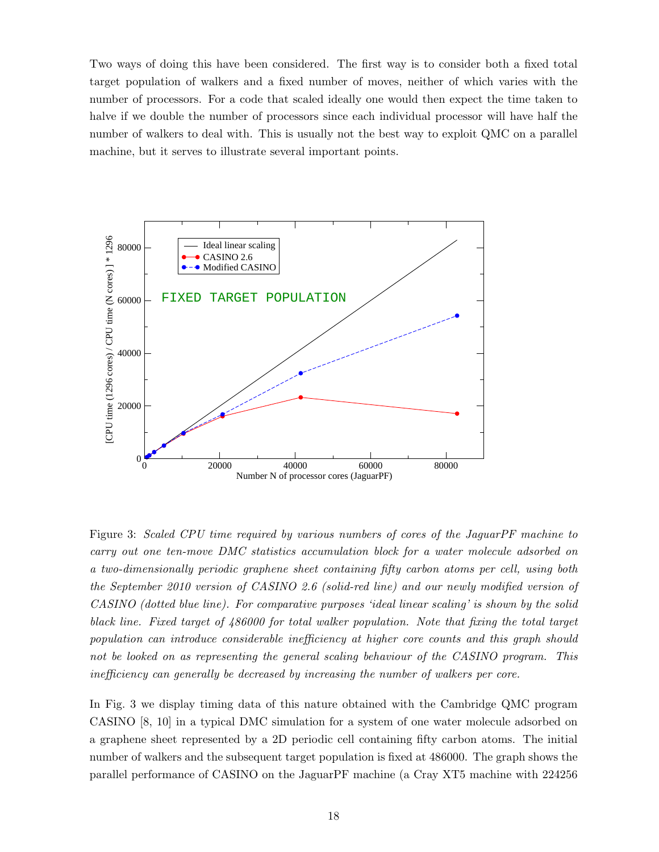Two ways of doing this have been considered. The first way is to consider both a fixed total target population of walkers and a fixed number of moves, neither of which varies with the number of processors. For a code that scaled ideally one would then expect the time taken to halve if we double the number of processors since each individual processor will have half the number of walkers to deal with. This is usually not the best way to exploit QMC on a parallel machine, but it serves to illustrate several important points.



Figure 3: Scaled CPU time required by various numbers of cores of the JaguarPF machine to carry out one ten-move DMC statistics accumulation block for a water molecule adsorbed on a two-dimensionally periodic graphene sheet containing fifty carbon atoms per cell, using both the September 2010 version of CASINO 2.6 (solid-red line) and our newly modified version of CASINO (dotted blue line). For comparative purposes 'ideal linear scaling' is shown by the solid black line. Fixed target of 486000 for total walker population. Note that fixing the total target population can introduce considerable inefficiency at higher core counts and this graph should not be looked on as representing the general scaling behaviour of the CASINO program. This inefficiency can generally be decreased by increasing the number of walkers per core.

In Fig. 3 we display timing data of this nature obtained with the Cambridge QMC program CASINO [8, 10] in a typical DMC simulation for a system of one water molecule adsorbed on a graphene sheet represented by a 2D periodic cell containing fifty carbon atoms. The initial number of walkers and the subsequent target population is fixed at 486000. The graph shows the parallel performance of CASINO on the JaguarPF machine (a Cray XT5 machine with 224256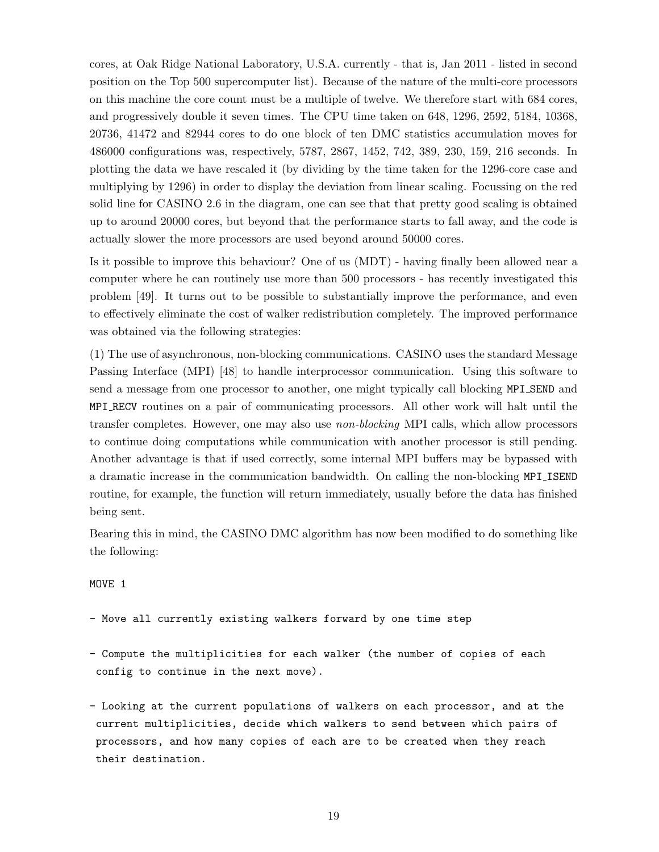cores, at Oak Ridge National Laboratory, U.S.A. currently - that is, Jan 2011 - listed in second position on the Top 500 supercomputer list). Because of the nature of the multi-core processors on this machine the core count must be a multiple of twelve. We therefore start with 684 cores, and progressively double it seven times. The CPU time taken on 648, 1296, 2592, 5184, 10368, 20736, 41472 and 82944 cores to do one block of ten DMC statistics accumulation moves for 486000 configurations was, respectively, 5787, 2867, 1452, 742, 389, 230, 159, 216 seconds. In plotting the data we have rescaled it (by dividing by the time taken for the 1296-core case and multiplying by 1296) in order to display the deviation from linear scaling. Focussing on the red solid line for CASINO 2.6 in the diagram, one can see that that pretty good scaling is obtained up to around 20000 cores, but beyond that the performance starts to fall away, and the code is actually slower the more processors are used beyond around 50000 cores.

Is it possible to improve this behaviour? One of us (MDT) - having finally been allowed near a computer where he can routinely use more than 500 processors - has recently investigated this problem [49]. It turns out to be possible to substantially improve the performance, and even to effectively eliminate the cost of walker redistribution completely. The improved performance was obtained via the following strategies:

(1) The use of asynchronous, non-blocking communications. CASINO uses the standard Message Passing Interface (MPI) [48] to handle interprocessor communication. Using this software to send a message from one processor to another, one might typically call blocking MPI SEND and MPI RECV routines on a pair of communicating processors. All other work will halt until the transfer completes. However, one may also use non-blocking MPI calls, which allow processors to continue doing computations while communication with another processor is still pending. Another advantage is that if used correctly, some internal MPI buffers may be bypassed with a dramatic increase in the communication bandwidth. On calling the non-blocking MPI ISEND routine, for example, the function will return immediately, usually before the data has finished being sent.

Bearing this in mind, the CASINO DMC algorithm has now been modified to do something like the following:

#### MOVE 1

- Move all currently existing walkers forward by one time step
- Compute the multiplicities for each walker (the number of copies of each config to continue in the next move).
- Looking at the current populations of walkers on each processor, and at the current multiplicities, decide which walkers to send between which pairs of processors, and how many copies of each are to be created when they reach their destination.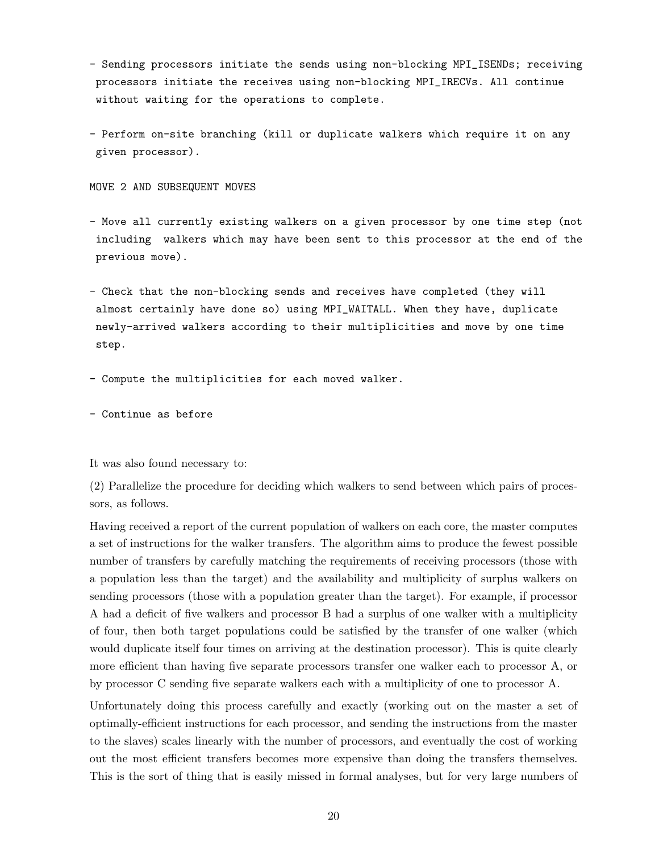- Sending processors initiate the sends using non-blocking MPI\_ISENDs; receiving processors initiate the receives using non-blocking MPI\_IRECVs. All continue without waiting for the operations to complete.
- Perform on-site branching (kill or duplicate walkers which require it on any given processor).

MOVE 2 AND SUBSEQUENT MOVES

- Move all currently existing walkers on a given processor by one time step (not including walkers which may have been sent to this processor at the end of the previous move).
- Check that the non-blocking sends and receives have completed (they will almost certainly have done so) using MPI\_WAITALL. When they have, duplicate newly-arrived walkers according to their multiplicities and move by one time step.
- Compute the multiplicities for each moved walker.
- Continue as before

It was also found necessary to:

(2) Parallelize the procedure for deciding which walkers to send between which pairs of processors, as follows.

Having received a report of the current population of walkers on each core, the master computes a set of instructions for the walker transfers. The algorithm aims to produce the fewest possible number of transfers by carefully matching the requirements of receiving processors (those with a population less than the target) and the availability and multiplicity of surplus walkers on sending processors (those with a population greater than the target). For example, if processor A had a deficit of five walkers and processor B had a surplus of one walker with a multiplicity of four, then both target populations could be satisfied by the transfer of one walker (which would duplicate itself four times on arriving at the destination processor). This is quite clearly more efficient than having five separate processors transfer one walker each to processor A, or by processor C sending five separate walkers each with a multiplicity of one to processor A.

Unfortunately doing this process carefully and exactly (working out on the master a set of optimally-efficient instructions for each processor, and sending the instructions from the master to the slaves) scales linearly with the number of processors, and eventually the cost of working out the most efficient transfers becomes more expensive than doing the transfers themselves. This is the sort of thing that is easily missed in formal analyses, but for very large numbers of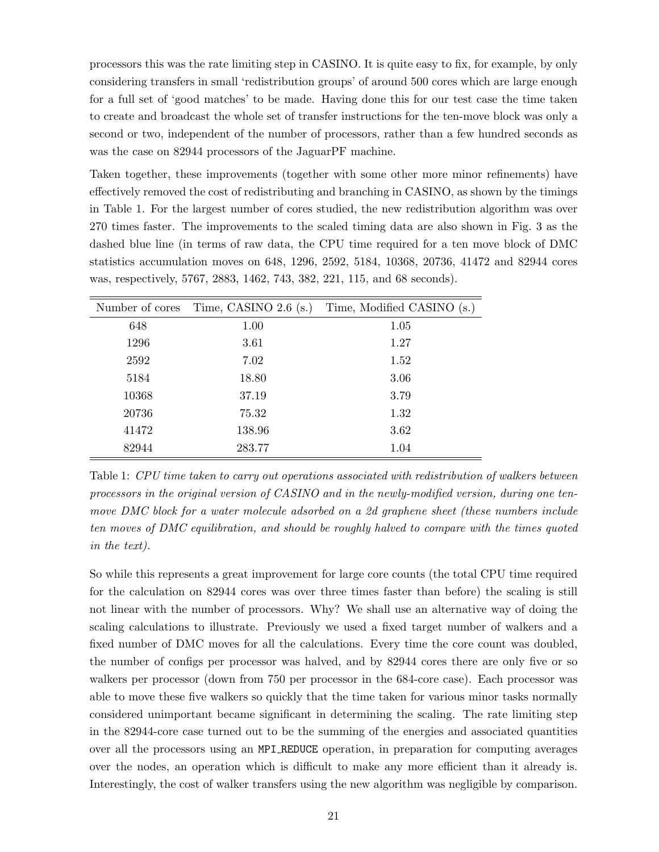processors this was the rate limiting step in CASINO. It is quite easy to fix, for example, by only considering transfers in small 'redistribution groups' of around 500 cores which are large enough for a full set of 'good matches' to be made. Having done this for our test case the time taken to create and broadcast the whole set of transfer instructions for the ten-move block was only a second or two, independent of the number of processors, rather than a few hundred seconds as was the case on 82944 processors of the JaguarPF machine.

Taken together, these improvements (together with some other more minor refinements) have effectively removed the cost of redistributing and branching in CASINO, as shown by the timings in Table 1. For the largest number of cores studied, the new redistribution algorithm was over 270 times faster. The improvements to the scaled timing data are also shown in Fig. 3 as the dashed blue line (in terms of raw data, the CPU time required for a ten move block of DMC statistics accumulation moves on 648, 1296, 2592, 5184, 10368, 20736, 41472 and 82944 cores was, respectively, 5767, 2883, 1462, 743, 382, 221, 115, and 68 seconds).

| Number of cores | Time, CASINO $2.6$ (s.) | Time, Modified CASINO (s.) |
|-----------------|-------------------------|----------------------------|
| 648             | 1.00                    | 1.05                       |
| 1296            | 3.61                    | 1.27                       |
| 2592            | 7.02                    | 1.52                       |
| 5184            | 18.80                   | 3.06                       |
| 10368           | 37.19                   | 3.79                       |
| 20736           | 75.32                   | 1.32                       |
| 41472           | 138.96                  | 3.62                       |
| 82944           | 283.77                  | 1.04                       |

Table 1: CPU time taken to carry out operations associated with redistribution of walkers between processors in the original version of CASINO and in the newly-modified version, during one tenmove DMC block for a water molecule adsorbed on a 2d graphene sheet (these numbers include ten moves of DMC equilibration, and should be roughly halved to compare with the times quoted in the text).

So while this represents a great improvement for large core counts (the total CPU time required for the calculation on 82944 cores was over three times faster than before) the scaling is still not linear with the number of processors. Why? We shall use an alternative way of doing the scaling calculations to illustrate. Previously we used a fixed target number of walkers and a fixed number of DMC moves for all the calculations. Every time the core count was doubled, the number of configs per processor was halved, and by 82944 cores there are only five or so walkers per processor (down from 750 per processor in the 684-core case). Each processor was able to move these five walkers so quickly that the time taken for various minor tasks normally considered unimportant became significant in determining the scaling. The rate limiting step in the 82944-core case turned out to be the summing of the energies and associated quantities over all the processors using an MPI REDUCE operation, in preparation for computing averages over the nodes, an operation which is difficult to make any more efficient than it already is. Interestingly, the cost of walker transfers using the new algorithm was negligible by comparison.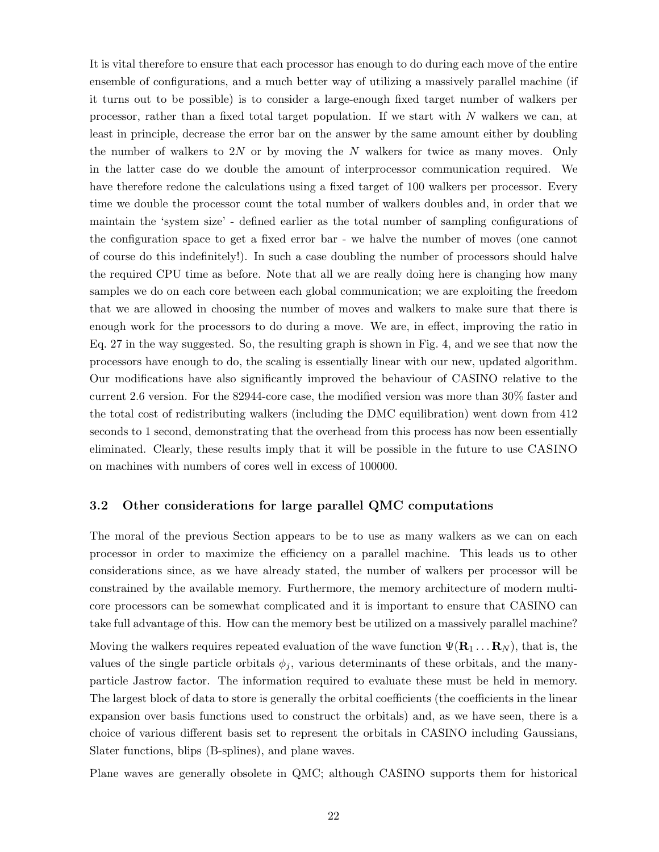It is vital therefore to ensure that each processor has enough to do during each move of the entire ensemble of configurations, and a much better way of utilizing a massively parallel machine (if it turns out to be possible) is to consider a large-enough fixed target number of walkers per processor, rather than a fixed total target population. If we start with N walkers we can, at least in principle, decrease the error bar on the answer by the same amount either by doubling the number of walkers to 2N or by moving the N walkers for twice as many moves. Only in the latter case do we double the amount of interprocessor communication required. We have therefore redone the calculations using a fixed target of 100 walkers per processor. Every time we double the processor count the total number of walkers doubles and, in order that we maintain the 'system size' - defined earlier as the total number of sampling configurations of the configuration space to get a fixed error bar - we halve the number of moves (one cannot of course do this indefinitely!). In such a case doubling the number of processors should halve the required CPU time as before. Note that all we are really doing here is changing how many samples we do on each core between each global communication; we are exploiting the freedom that we are allowed in choosing the number of moves and walkers to make sure that there is enough work for the processors to do during a move. We are, in effect, improving the ratio in Eq. 27 in the way suggested. So, the resulting graph is shown in Fig. 4, and we see that now the processors have enough to do, the scaling is essentially linear with our new, updated algorithm. Our modifications have also significantly improved the behaviour of CASINO relative to the current 2.6 version. For the 82944-core case, the modified version was more than 30% faster and the total cost of redistributing walkers (including the DMC equilibration) went down from 412 seconds to 1 second, demonstrating that the overhead from this process has now been essentially eliminated. Clearly, these results imply that it will be possible in the future to use CASINO on machines with numbers of cores well in excess of 100000.

#### 3.2 Other considerations for large parallel QMC computations

The moral of the previous Section appears to be to use as many walkers as we can on each processor in order to maximize the efficiency on a parallel machine. This leads us to other considerations since, as we have already stated, the number of walkers per processor will be constrained by the available memory. Furthermore, the memory architecture of modern multicore processors can be somewhat complicated and it is important to ensure that CASINO can take full advantage of this. How can the memory best be utilized on a massively parallel machine?

Moving the walkers requires repeated evaluation of the wave function  $\Psi(\mathbf{R}_1 \dots \mathbf{R}_N)$ , that is, the values of the single particle orbitals  $\phi_i$ , various determinants of these orbitals, and the manyparticle Jastrow factor. The information required to evaluate these must be held in memory. The largest block of data to store is generally the orbital coefficients (the coefficients in the linear expansion over basis functions used to construct the orbitals) and, as we have seen, there is a choice of various different basis set to represent the orbitals in CASINO including Gaussians, Slater functions, blips (B-splines), and plane waves.

Plane waves are generally obsolete in QMC; although CASINO supports them for historical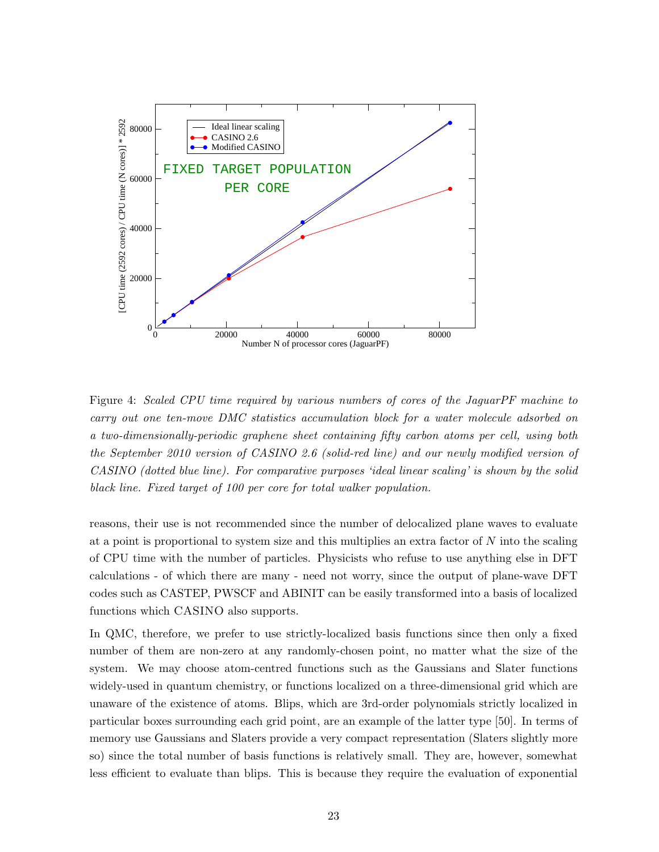

Figure 4: Scaled CPU time required by various numbers of cores of the JaguarPF machine to carry out one ten-move DMC statistics accumulation block for a water molecule adsorbed on a two-dimensionally-periodic graphene sheet containing fifty carbon atoms per cell, using both the September 2010 version of CASINO 2.6 (solid-red line) and our newly modified version of CASINO (dotted blue line). For comparative purposes 'ideal linear scaling' is shown by the solid black line. Fixed target of 100 per core for total walker population.

reasons, their use is not recommended since the number of delocalized plane waves to evaluate at a point is proportional to system size and this multiplies an extra factor of N into the scaling of CPU time with the number of particles. Physicists who refuse to use anything else in DFT calculations - of which there are many - need not worry, since the output of plane-wave DFT codes such as CASTEP, PWSCF and ABINIT can be easily transformed into a basis of localized functions which CASINO also supports.

In QMC, therefore, we prefer to use strictly-localized basis functions since then only a fixed number of them are non-zero at any randomly-chosen point, no matter what the size of the system. We may choose atom-centred functions such as the Gaussians and Slater functions widely-used in quantum chemistry, or functions localized on a three-dimensional grid which are unaware of the existence of atoms. Blips, which are 3rd-order polynomials strictly localized in particular boxes surrounding each grid point, are an example of the latter type [50]. In terms of memory use Gaussians and Slaters provide a very compact representation (Slaters slightly more so) since the total number of basis functions is relatively small. They are, however, somewhat less efficient to evaluate than blips. This is because they require the evaluation of exponential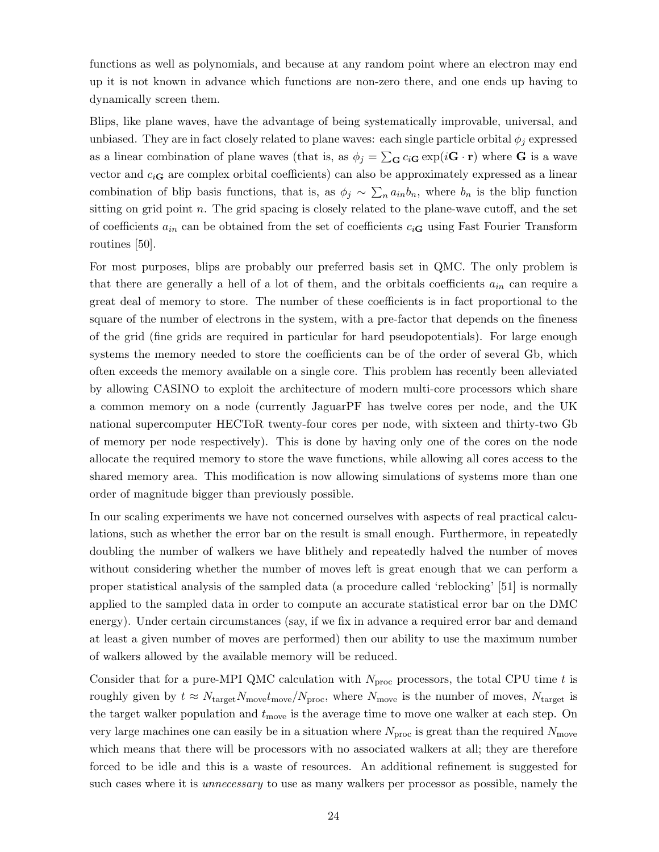functions as well as polynomials, and because at any random point where an electron may end up it is not known in advance which functions are non-zero there, and one ends up having to dynamically screen them.

Blips, like plane waves, have the advantage of being systematically improvable, universal, and unbiased. They are in fact closely related to plane waves: each single particle orbital  $\phi_j$  expressed as a linear combination of plane waves (that is, as  $\phi_j = \sum_{\mathbf{G}} c_i \mathbf{G} \exp(i\mathbf{G} \cdot \mathbf{r})$  where **G** is a wave vector and  $c_i$  are complex orbital coefficients) can also be approximately expressed as a linear combination of blip basis functions, that is, as  $\phi_j \sim \sum_n a_{in}b_n$ , where  $b_n$  is the blip function sitting on grid point n. The grid spacing is closely related to the plane-wave cutoff, and the set of coefficients  $a_{in}$  can be obtained from the set of coefficients  $c_i$ <sub>G</sub> using Fast Fourier Transform routines [50].

For most purposes, blips are probably our preferred basis set in QMC. The only problem is that there are generally a hell of a lot of them, and the orbitals coefficients  $a_{in}$  can require a great deal of memory to store. The number of these coefficients is in fact proportional to the square of the number of electrons in the system, with a pre-factor that depends on the fineness of the grid (fine grids are required in particular for hard pseudopotentials). For large enough systems the memory needed to store the coefficients can be of the order of several Gb, which often exceeds the memory available on a single core. This problem has recently been alleviated by allowing CASINO to exploit the architecture of modern multi-core processors which share a common memory on a node (currently JaguarPF has twelve cores per node, and the UK national supercomputer HECToR twenty-four cores per node, with sixteen and thirty-two Gb of memory per node respectively). This is done by having only one of the cores on the node allocate the required memory to store the wave functions, while allowing all cores access to the shared memory area. This modification is now allowing simulations of systems more than one order of magnitude bigger than previously possible.

In our scaling experiments we have not concerned ourselves with aspects of real practical calculations, such as whether the error bar on the result is small enough. Furthermore, in repeatedly doubling the number of walkers we have blithely and repeatedly halved the number of moves without considering whether the number of moves left is great enough that we can perform a proper statistical analysis of the sampled data (a procedure called 'reblocking' [51] is normally applied to the sampled data in order to compute an accurate statistical error bar on the DMC energy). Under certain circumstances (say, if we fix in advance a required error bar and demand at least a given number of moves are performed) then our ability to use the maximum number of walkers allowed by the available memory will be reduced.

Consider that for a pure-MPI QMC calculation with  $N_{\text{proc}}$  processors, the total CPU time t is roughly given by  $t \approx N_{\text{target}}N_{\text{move}}/N_{\text{proc}}$ , where  $N_{\text{move}}$  is the number of moves,  $N_{\text{target}}$  is the target walker population and  $t_{\text{move}}$  is the average time to move one walker at each step. On very large machines one can easily be in a situation where  $N_{\text{proc}}$  is great than the required  $N_{\text{move}}$ which means that there will be processors with no associated walkers at all; they are therefore forced to be idle and this is a waste of resources. An additional refinement is suggested for such cases where it is *unnecessary* to use as many walkers per processor as possible, namely the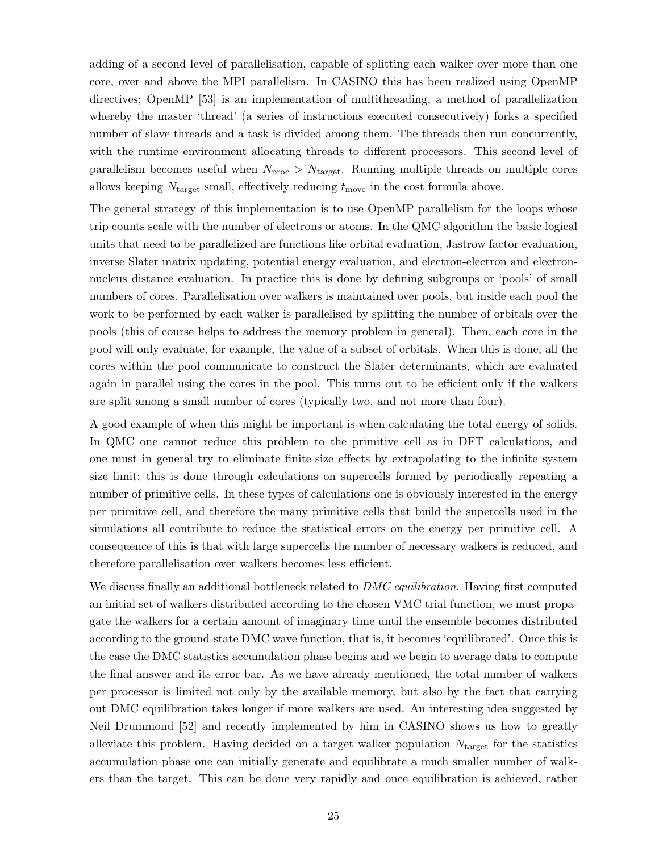adding of a second level of parallelisation, capable of splitting each walker over more than one core, over and above the MPI parallelism. In CASINO this has been realized using OpenMP directives; OpenMP [53] is an implementation of multithreading, a method of parallelization whereby the master 'thread' (a series of instructions executed consecutively) forks a specified number of slave threads and a task is divided among them. The threads then run concurrently, with the runtime environment allocating threads to different processors. This second level of parallelism becomes useful when  $N_{\text{proc}} > N_{\text{target}}$ . Running multiple threads on multiple cores allows keeping  $N_{\text{target}}$  small, effectively reducing  $t_{\text{move}}$  in the cost formula above.

The general strategy of this implementation is to use OpenMP parallelism for the loops whose trip counts scale with the number of electrons or atoms. In the QMC algorithm the basic logical units that need to be parallelized are functions like orbital evaluation, Jastrow factor evaluation, inverse Slater matrix updating, potential energy evaluation, and electron-electron and electronnucleus distance evaluation. In practice this is done by defining subgroups or 'pools' of small numbers of cores. Parallelisation over walkers is maintained over pools, but inside each pool the work to be performed by each walker is parallelised by splitting the number of orbitals over the pools (this of course helps to address the memory problem in general). Then, each core in the pool will only evaluate, for example, the value of a subset of orbitals. When this is done, all the cores within the pool communicate to construct the Slater determinants, which are evaluated again in parallel using the cores in the pool. This turns out to be efficient only if the walkers are split among a small number of cores (typically two, and not more than four).

A good example of when this might be important is when calculating the total energy of solids. In QMC one cannot reduce this problem to the primitive cell as in DFT calculations, and one must in general try to eliminate finite-size effects by extrapolating to the infinite system size limit; this is done through calculations on supercells formed by periodically repeating a number of primitive cells. In these types of calculations one is obviously interested in the energy per primitive cell, and therefore the many primitive cells that build the supercells used in the simulations all contribute to reduce the statistical errors on the energy per primitive cell. A consequence of this is that with large supercells the number of necessary walkers is reduced, and therefore parallelisation over walkers becomes less efficient.

We discuss finally an additional bottleneck related to *DMC equilibration*. Having first computed an initial set of walkers distributed according to the chosen VMC trial function, we must propagate the walkers for a certain amount of imaginary time until the ensemble becomes distributed according to the ground-state DMC wave function, that is, it becomes 'equilibrated'. Once this is the case the DMC statistics accumulation phase begins and we begin to average data to compute the final answer and its error bar. As we have already mentioned, the total number of walkers per processor is limited not only by the available memory, but also by the fact that carrying out DMC equilibration takes longer if more walkers are used. An interesting idea suggested by Neil Drummond [52] and recently implemented by him in CASINO shows us how to greatly alleviate this problem. Having decided on a target walker population  $N_{\text{target}}$  for the statistics accumulation phase one can initially generate and equilibrate a much smaller number of walkers than the target. This can be done very rapidly and once equilibration is achieved, rather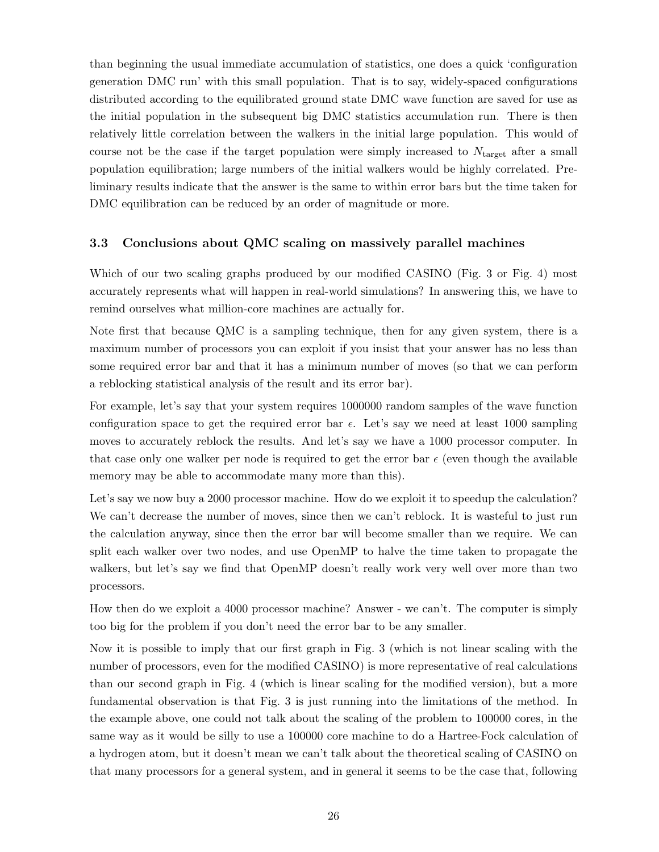than beginning the usual immediate accumulation of statistics, one does a quick 'configuration generation DMC run' with this small population. That is to say, widely-spaced configurations distributed according to the equilibrated ground state DMC wave function are saved for use as the initial population in the subsequent big DMC statistics accumulation run. There is then relatively little correlation between the walkers in the initial large population. This would of course not be the case if the target population were simply increased to  $N_{\text{target}}$  after a small population equilibration; large numbers of the initial walkers would be highly correlated. Preliminary results indicate that the answer is the same to within error bars but the time taken for DMC equilibration can be reduced by an order of magnitude or more.

### 3.3 Conclusions about QMC scaling on massively parallel machines

Which of our two scaling graphs produced by our modified CASINO (Fig. 3 or Fig. 4) most accurately represents what will happen in real-world simulations? In answering this, we have to remind ourselves what million-core machines are actually for.

Note first that because QMC is a sampling technique, then for any given system, there is a maximum number of processors you can exploit if you insist that your answer has no less than some required error bar and that it has a minimum number of moves (so that we can perform a reblocking statistical analysis of the result and its error bar).

For example, let's say that your system requires 1000000 random samples of the wave function configuration space to get the required error bar  $\epsilon$ . Let's say we need at least 1000 sampling moves to accurately reblock the results. And let's say we have a 1000 processor computer. In that case only one walker per node is required to get the error bar  $\epsilon$  (even though the available memory may be able to accommodate many more than this).

Let's say we now buy a 2000 processor machine. How do we exploit it to speedup the calculation? We can't decrease the number of moves, since then we can't reblock. It is wasteful to just run the calculation anyway, since then the error bar will become smaller than we require. We can split each walker over two nodes, and use OpenMP to halve the time taken to propagate the walkers, but let's say we find that OpenMP doesn't really work very well over more than two processors.

How then do we exploit a 4000 processor machine? Answer - we can't. The computer is simply too big for the problem if you don't need the error bar to be any smaller.

Now it is possible to imply that our first graph in Fig. 3 (which is not linear scaling with the number of processors, even for the modified CASINO) is more representative of real calculations than our second graph in Fig. 4 (which is linear scaling for the modified version), but a more fundamental observation is that Fig. 3 is just running into the limitations of the method. In the example above, one could not talk about the scaling of the problem to 100000 cores, in the same way as it would be silly to use a 100000 core machine to do a Hartree-Fock calculation of a hydrogen atom, but it doesn't mean we can't talk about the theoretical scaling of CASINO on that many processors for a general system, and in general it seems to be the case that, following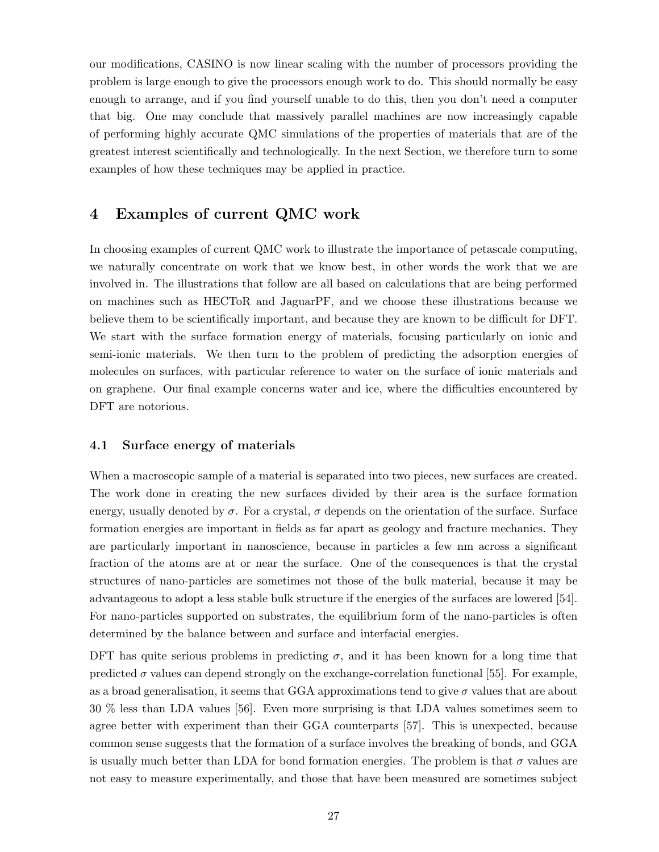our modifications, CASINO is now linear scaling with the number of processors providing the problem is large enough to give the processors enough work to do. This should normally be easy enough to arrange, and if you find yourself unable to do this, then you don't need a computer that big. One may conclude that massively parallel machines are now increasingly capable of performing highly accurate QMC simulations of the properties of materials that are of the greatest interest scientifically and technologically. In the next Section, we therefore turn to some examples of how these techniques may be applied in practice.

# 4 Examples of current QMC work

In choosing examples of current QMC work to illustrate the importance of petascale computing, we naturally concentrate on work that we know best, in other words the work that we are involved in. The illustrations that follow are all based on calculations that are being performed on machines such as HECToR and JaguarPF, and we choose these illustrations because we believe them to be scientifically important, and because they are known to be difficult for DFT. We start with the surface formation energy of materials, focusing particularly on ionic and semi-ionic materials. We then turn to the problem of predicting the adsorption energies of molecules on surfaces, with particular reference to water on the surface of ionic materials and on graphene. Our final example concerns water and ice, where the difficulties encountered by DFT are notorious.

#### 4.1 Surface energy of materials

When a macroscopic sample of a material is separated into two pieces, new surfaces are created. The work done in creating the new surfaces divided by their area is the surface formation energy, usually denoted by  $\sigma$ . For a crystal,  $\sigma$  depends on the orientation of the surface. Surface formation energies are important in fields as far apart as geology and fracture mechanics. They are particularly important in nanoscience, because in particles a few nm across a significant fraction of the atoms are at or near the surface. One of the consequences is that the crystal structures of nano-particles are sometimes not those of the bulk material, because it may be advantageous to adopt a less stable bulk structure if the energies of the surfaces are lowered [54]. For nano-particles supported on substrates, the equilibrium form of the nano-particles is often determined by the balance between and surface and interfacial energies.

DFT has quite serious problems in predicting  $\sigma$ , and it has been known for a long time that predicted  $\sigma$  values can depend strongly on the exchange-correlation functional [55]. For example, as a broad generalisation, it seems that GGA approximations tend to give  $\sigma$  values that are about 30 % less than LDA values [56]. Even more surprising is that LDA values sometimes seem to agree better with experiment than their GGA counterparts [57]. This is unexpected, because common sense suggests that the formation of a surface involves the breaking of bonds, and GGA is usually much better than LDA for bond formation energies. The problem is that  $\sigma$  values are not easy to measure experimentally, and those that have been measured are sometimes subject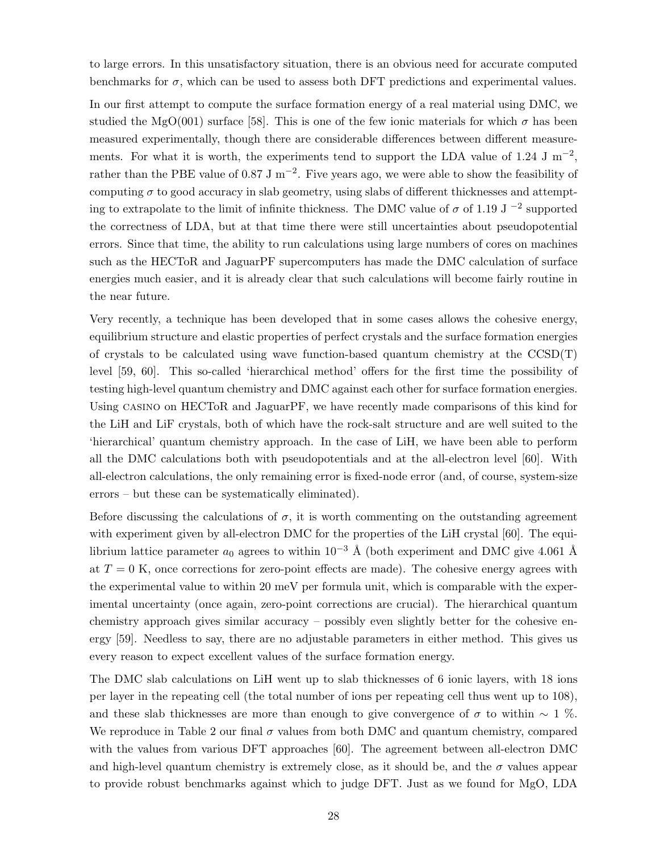to large errors. In this unsatisfactory situation, there is an obvious need for accurate computed benchmarks for  $\sigma$ , which can be used to assess both DFT predictions and experimental values.

In our first attempt to compute the surface formation energy of a real material using DMC, we studied the MgO(001) surface [58]. This is one of the few ionic materials for which  $\sigma$  has been measured experimentally, though there are considerable differences between different measurements. For what it is worth, the experiments tend to support the LDA value of 1.24 J  $\text{m}^{-2}$ , rather than the PBE value of 0.87 J m<sup>-2</sup>. Five years ago, we were able to show the feasibility of computing  $\sigma$  to good accuracy in slab geometry, using slabs of different thicknesses and attempting to extrapolate to the limit of infinite thickness. The DMC value of  $\sigma$  of 1.19 J  $^{-2}$  supported the correctness of LDA, but at that time there were still uncertainties about pseudopotential errors. Since that time, the ability to run calculations using large numbers of cores on machines such as the HECToR and JaguarPF supercomputers has made the DMC calculation of surface energies much easier, and it is already clear that such calculations will become fairly routine in the near future.

Very recently, a technique has been developed that in some cases allows the cohesive energy, equilibrium structure and elastic properties of perfect crystals and the surface formation energies of crystals to be calculated using wave function-based quantum chemistry at the  $\text{CCSD(T)}$ level [59, 60]. This so-called 'hierarchical method' offers for the first time the possibility of testing high-level quantum chemistry and DMC against each other for surface formation energies. Using casino on HECToR and JaguarPF, we have recently made comparisons of this kind for the LiH and LiF crystals, both of which have the rock-salt structure and are well suited to the 'hierarchical' quantum chemistry approach. In the case of LiH, we have been able to perform all the DMC calculations both with pseudopotentials and at the all-electron level [60]. With all-electron calculations, the only remaining error is fixed-node error (and, of course, system-size errors – but these can be systematically eliminated).

Before discussing the calculations of  $\sigma$ , it is worth commenting on the outstanding agreement with experiment given by all-electron DMC for the properties of the LiH crystal [60]. The equilibrium lattice parameter  $a_0$  agrees to within  $10^{-3}$  Å (both experiment and DMC give 4.061 Å at  $T = 0$  K, once corrections for zero-point effects are made). The cohesive energy agrees with the experimental value to within 20 meV per formula unit, which is comparable with the experimental uncertainty (once again, zero-point corrections are crucial). The hierarchical quantum chemistry approach gives similar accuracy – possibly even slightly better for the cohesive energy [59]. Needless to say, there are no adjustable parameters in either method. This gives us every reason to expect excellent values of the surface formation energy.

The DMC slab calculations on LiH went up to slab thicknesses of 6 ionic layers, with 18 ions per layer in the repeating cell (the total number of ions per repeating cell thus went up to 108), and these slab thicknesses are more than enough to give convergence of  $\sigma$  to within  $\sim 1$  %. We reproduce in Table 2 our final  $\sigma$  values from both DMC and quantum chemistry, compared with the values from various DFT approaches [60]. The agreement between all-electron DMC and high-level quantum chemistry is extremely close, as it should be, and the  $\sigma$  values appear to provide robust benchmarks against which to judge DFT. Just as we found for MgO, LDA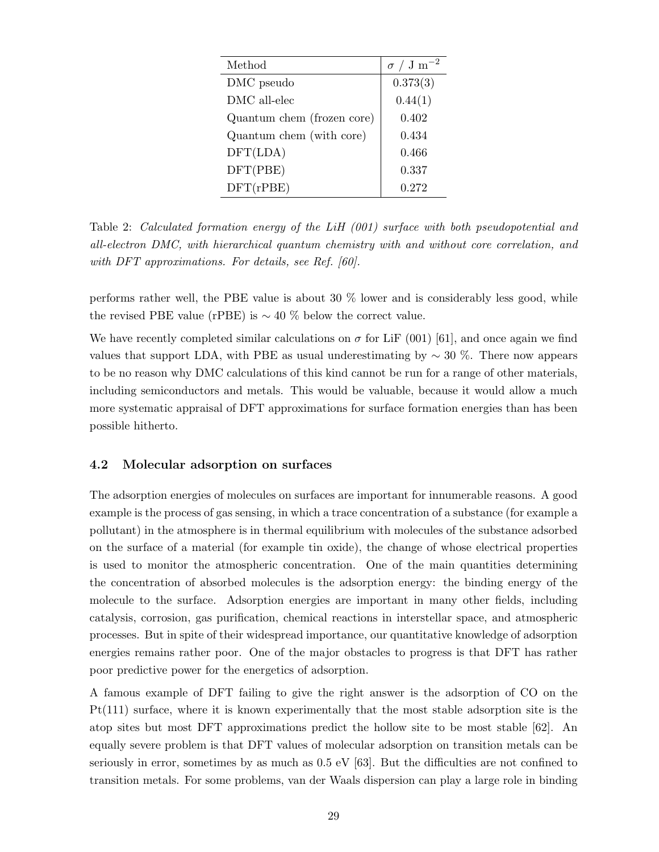| Method                     | $\sigma / \mathrm{J m^{-2}}$ |
|----------------------------|------------------------------|
| DMC pseudo                 | 0.373(3)                     |
| DMC all-elec               | 0.44(1)                      |
| Quantum chem (frozen core) | 0.402                        |
| Quantum chem (with core)   | 0.434                        |
| DFT(LDA)                   | 0.466                        |
| DFT(PBE)                   | 0.337                        |
| DFT(rPBE)                  | 0.272                        |

Table 2: Calculated formation energy of the LiH (001) surface with both pseudopotential and all-electron DMC, with hierarchical quantum chemistry with and without core correlation, and with DFT approximations. For details, see Ref. [60].

performs rather well, the PBE value is about 30 % lower and is considerably less good, while the revised PBE value (rPBE) is  $\sim$  40 % below the correct value.

We have recently completed similar calculations on  $\sigma$  for LiF (001) [61], and once again we find values that support LDA, with PBE as usual underestimating by  $\sim 30$  %. There now appears to be no reason why DMC calculations of this kind cannot be run for a range of other materials, including semiconductors and metals. This would be valuable, because it would allow a much more systematic appraisal of DFT approximations for surface formation energies than has been possible hitherto.

### 4.2 Molecular adsorption on surfaces

The adsorption energies of molecules on surfaces are important for innumerable reasons. A good example is the process of gas sensing, in which a trace concentration of a substance (for example a pollutant) in the atmosphere is in thermal equilibrium with molecules of the substance adsorbed on the surface of a material (for example tin oxide), the change of whose electrical properties is used to monitor the atmospheric concentration. One of the main quantities determining the concentration of absorbed molecules is the adsorption energy: the binding energy of the molecule to the surface. Adsorption energies are important in many other fields, including catalysis, corrosion, gas purification, chemical reactions in interstellar space, and atmospheric processes. But in spite of their widespread importance, our quantitative knowledge of adsorption energies remains rather poor. One of the major obstacles to progress is that DFT has rather poor predictive power for the energetics of adsorption.

A famous example of DFT failing to give the right answer is the adsorption of CO on the Pt(111) surface, where it is known experimentally that the most stable adsorption site is the atop sites but most DFT approximations predict the hollow site to be most stable [62]. An equally severe problem is that DFT values of molecular adsorption on transition metals can be seriously in error, sometimes by as much as  $0.5 \text{ eV}$  [63]. But the difficulties are not confined to transition metals. For some problems, van der Waals dispersion can play a large role in binding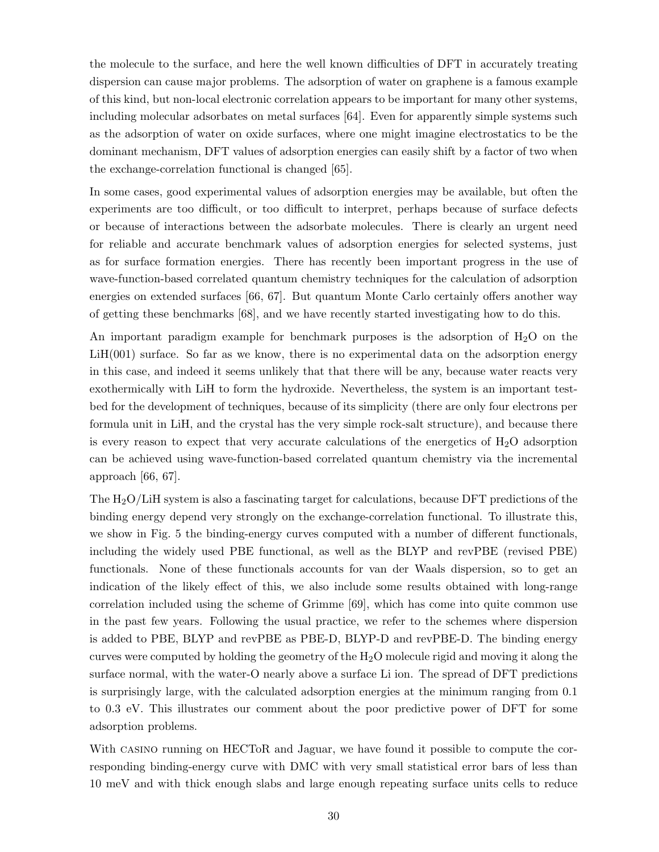the molecule to the surface, and here the well known difficulties of DFT in accurately treating dispersion can cause major problems. The adsorption of water on graphene is a famous example of this kind, but non-local electronic correlation appears to be important for many other systems, including molecular adsorbates on metal surfaces [64]. Even for apparently simple systems such as the adsorption of water on oxide surfaces, where one might imagine electrostatics to be the dominant mechanism, DFT values of adsorption energies can easily shift by a factor of two when the exchange-correlation functional is changed [65].

In some cases, good experimental values of adsorption energies may be available, but often the experiments are too difficult, or too difficult to interpret, perhaps because of surface defects or because of interactions between the adsorbate molecules. There is clearly an urgent need for reliable and accurate benchmark values of adsorption energies for selected systems, just as for surface formation energies. There has recently been important progress in the use of wave-function-based correlated quantum chemistry techniques for the calculation of adsorption energies on extended surfaces [66, 67]. But quantum Monte Carlo certainly offers another way of getting these benchmarks [68], and we have recently started investigating how to do this.

An important paradigm example for benchmark purposes is the adsorption of  $H_2O$  on the LiH(001) surface. So far as we know, there is no experimental data on the adsorption energy in this case, and indeed it seems unlikely that that there will be any, because water reacts very exothermically with LiH to form the hydroxide. Nevertheless, the system is an important testbed for the development of techniques, because of its simplicity (there are only four electrons per formula unit in LiH, and the crystal has the very simple rock-salt structure), and because there is every reason to expect that very accurate calculations of the energetics of  $H_2O$  adsorption can be achieved using wave-function-based correlated quantum chemistry via the incremental approach [66, 67].

The  $H_2O/LiH$  system is also a fascinating target for calculations, because DFT predictions of the binding energy depend very strongly on the exchange-correlation functional. To illustrate this, we show in Fig. 5 the binding-energy curves computed with a number of different functionals, including the widely used PBE functional, as well as the BLYP and revPBE (revised PBE) functionals. None of these functionals accounts for van der Waals dispersion, so to get an indication of the likely effect of this, we also include some results obtained with long-range correlation included using the scheme of Grimme [69], which has come into quite common use in the past few years. Following the usual practice, we refer to the schemes where dispersion is added to PBE, BLYP and revPBE as PBE-D, BLYP-D and revPBE-D. The binding energy curves were computed by holding the geometry of the  $H_2O$  molecule rigid and moving it along the surface normal, with the water-O nearly above a surface Li ion. The spread of DFT predictions is surprisingly large, with the calculated adsorption energies at the minimum ranging from 0.1 to 0.3 eV. This illustrates our comment about the poor predictive power of DFT for some adsorption problems.

With CASINO running on HECToR and Jaguar, we have found it possible to compute the corresponding binding-energy curve with DMC with very small statistical error bars of less than 10 meV and with thick enough slabs and large enough repeating surface units cells to reduce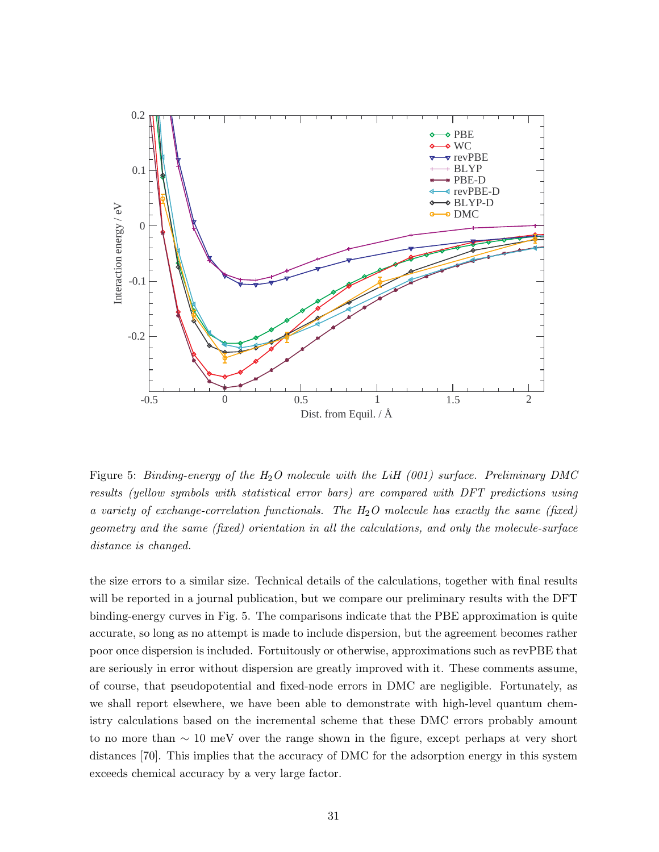

Figure 5: Binding-energy of the  $H_2O$  molecule with the LiH (001) surface. Preliminary DMC results (yellow symbols with statistical error bars) are compared with DFT predictions using a variety of exchange-correlation functionals. The  $H_2O$  molecule has exactly the same (fixed) geometry and the same (fixed) orientation in all the calculations, and only the molecule-surface distance is changed.

the size errors to a similar size. Technical details of the calculations, together with final results will be reported in a journal publication, but we compare our preliminary results with the DFT binding-energy curves in Fig. 5. The comparisons indicate that the PBE approximation is quite accurate, so long as no attempt is made to include dispersion, but the agreement becomes rather poor once dispersion is included. Fortuitously or otherwise, approximations such as revPBE that are seriously in error without dispersion are greatly improved with it. These comments assume, of course, that pseudopotential and fixed-node errors in DMC are negligible. Fortunately, as we shall report elsewhere, we have been able to demonstrate with high-level quantum chemistry calculations based on the incremental scheme that these DMC errors probably amount to no more than ∼ 10 meV over the range shown in the figure, except perhaps at very short distances [70]. This implies that the accuracy of DMC for the adsorption energy in this system exceeds chemical accuracy by a very large factor.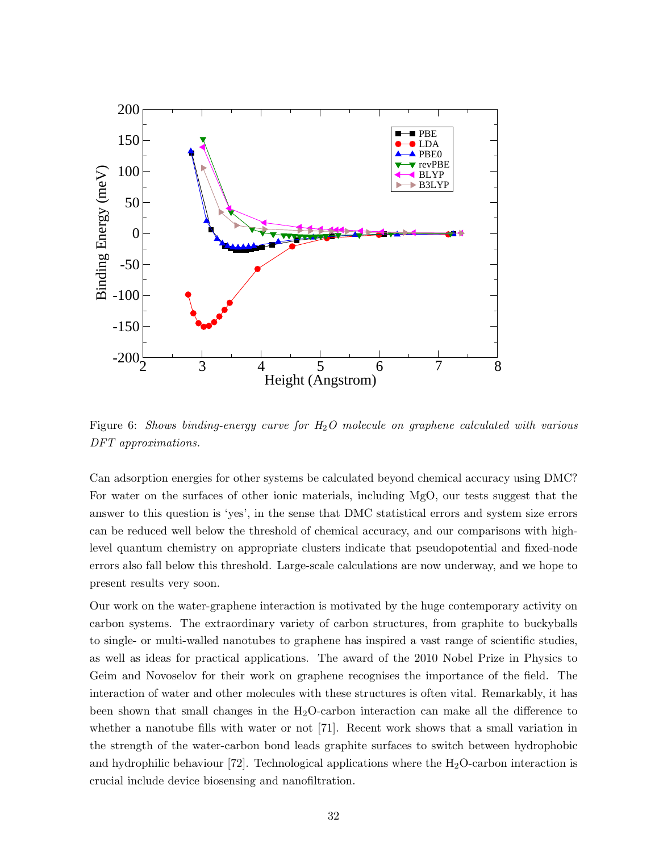

Figure 6: Shows binding-energy curve for  $H_2O$  molecule on graphene calculated with various DFT approximations.

Can adsorption energies for other systems be calculated beyond chemical accuracy using DMC? For water on the surfaces of other ionic materials, including MgO, our tests suggest that the answer to this question is 'yes', in the sense that DMC statistical errors and system size errors can be reduced well below the threshold of chemical accuracy, and our comparisons with highlevel quantum chemistry on appropriate clusters indicate that pseudopotential and fixed-node errors also fall below this threshold. Large-scale calculations are now underway, and we hope to present results very soon.

Our work on the water-graphene interaction is motivated by the huge contemporary activity on carbon systems. The extraordinary variety of carbon structures, from graphite to buckyballs to single- or multi-walled nanotubes to graphene has inspired a vast range of scientific studies, as well as ideas for practical applications. The award of the 2010 Nobel Prize in Physics to Geim and Novoselov for their work on graphene recognises the importance of the field. The interaction of water and other molecules with these structures is often vital. Remarkably, it has been shown that small changes in the  $H_2O$ -carbon interaction can make all the difference to whether a nanotube fills with water or not [71]. Recent work shows that a small variation in the strength of the water-carbon bond leads graphite surfaces to switch between hydrophobic and hydrophilic behaviour [72]. Technological applications where the  $H_2O$ -carbon interaction is crucial include device biosensing and nanofiltration.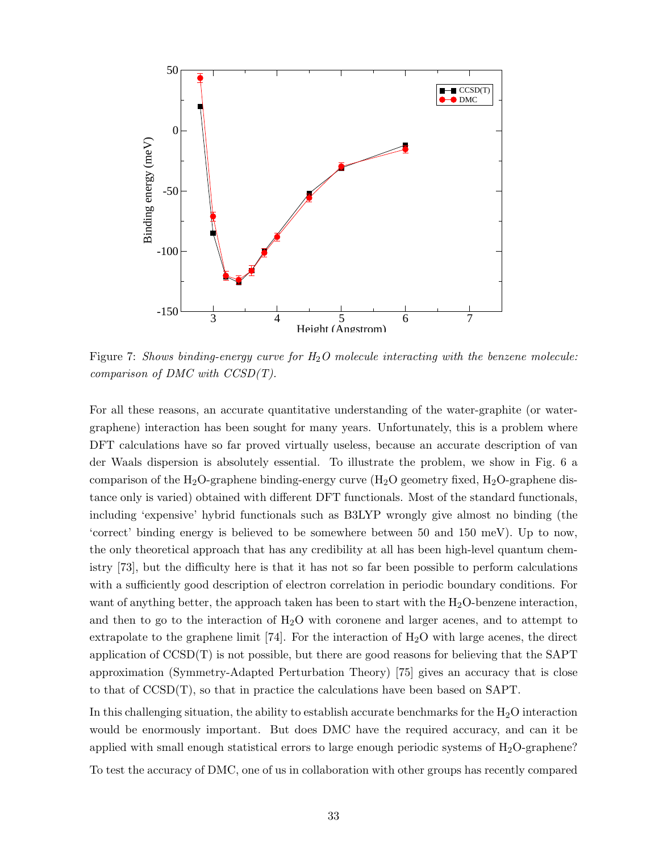

Figure 7: Shows binding-energy curve for  $H_2O$  molecule interacting with the benzene molecule: comparison of  $DMC$  with  $CCSD(T)$ .

For all these reasons, an accurate quantitative understanding of the water-graphite (or watergraphene) interaction has been sought for many years. Unfortunately, this is a problem where DFT calculations have so far proved virtually useless, because an accurate description of van der Waals dispersion is absolutely essential. To illustrate the problem, we show in Fig. 6 a comparison of the H<sub>2</sub>O-graphene binding-energy curve  $(H_2O)$  geometry fixed,  $H_2O$ -graphene distance only is varied) obtained with different DFT functionals. Most of the standard functionals, including 'expensive' hybrid functionals such as B3LYP wrongly give almost no binding (the 'correct' binding energy is believed to be somewhere between 50 and 150 meV). Up to now, the only theoretical approach that has any credibility at all has been high-level quantum chemistry [73], but the difficulty here is that it has not so far been possible to perform calculations with a sufficiently good description of electron correlation in periodic boundary conditions. For want of anything better, the approach taken has been to start with the  $H_2O$ -benzene interaction, and then to go to the interaction of  $H_2O$  with coronene and larger acenes, and to attempt to extrapolate to the graphene limit  $[74]$ . For the interaction of  $H_2O$  with large acenes, the direct application of  $\text{CCSD}(T)$  is not possible, but there are good reasons for believing that the SAPT approximation (Symmetry-Adapted Perturbation Theory) [75] gives an accuracy that is close to that of CCSD(T), so that in practice the calculations have been based on SAPT.

In this challenging situation, the ability to establish accurate benchmarks for the  $H_2O$  interaction would be enormously important. But does DMC have the required accuracy, and can it be applied with small enough statistical errors to large enough periodic systems of  $H_2O$ -graphene? To test the accuracy of DMC, one of us in collaboration with other groups has recently compared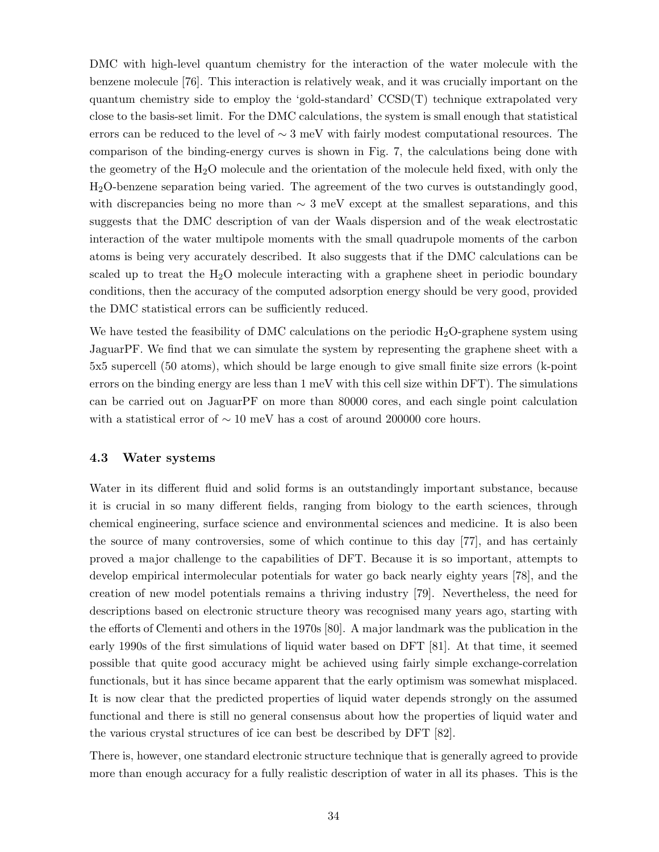DMC with high-level quantum chemistry for the interaction of the water molecule with the benzene molecule [76]. This interaction is relatively weak, and it was crucially important on the quantum chemistry side to employ the 'gold-standard' CCSD(T) technique extrapolated very close to the basis-set limit. For the DMC calculations, the system is small enough that statistical errors can be reduced to the level of  $\sim 3 \text{ meV}$  with fairly modest computational resources. The comparison of the binding-energy curves is shown in Fig. 7, the calculations being done with the geometry of the  $H_2O$  molecule and the orientation of the molecule held fixed, with only the H2O-benzene separation being varied. The agreement of the two curves is outstandingly good, with discrepancies being no more than  $\sim 3$  meV except at the smallest separations, and this suggests that the DMC description of van der Waals dispersion and of the weak electrostatic interaction of the water multipole moments with the small quadrupole moments of the carbon atoms is being very accurately described. It also suggests that if the DMC calculations can be scaled up to treat the  $H_2O$  molecule interacting with a graphene sheet in periodic boundary conditions, then the accuracy of the computed adsorption energy should be very good, provided the DMC statistical errors can be sufficiently reduced.

We have tested the feasibility of DMC calculations on the periodic  $H_2O$ -graphene system using JaguarPF. We find that we can simulate the system by representing the graphene sheet with a 5x5 supercell (50 atoms), which should be large enough to give small finite size errors (k-point errors on the binding energy are less than 1 meV with this cell size within DFT). The simulations can be carried out on JaguarPF on more than 80000 cores, and each single point calculation with a statistical error of  $\sim 10$  meV has a cost of around 200000 core hours.

#### 4.3 Water systems

Water in its different fluid and solid forms is an outstandingly important substance, because it is crucial in so many different fields, ranging from biology to the earth sciences, through chemical engineering, surface science and environmental sciences and medicine. It is also been the source of many controversies, some of which continue to this day [77], and has certainly proved a major challenge to the capabilities of DFT. Because it is so important, attempts to develop empirical intermolecular potentials for water go back nearly eighty years [78], and the creation of new model potentials remains a thriving industry [79]. Nevertheless, the need for descriptions based on electronic structure theory was recognised many years ago, starting with the efforts of Clementi and others in the 1970s [80]. A major landmark was the publication in the early 1990s of the first simulations of liquid water based on DFT [81]. At that time, it seemed possible that quite good accuracy might be achieved using fairly simple exchange-correlation functionals, but it has since became apparent that the early optimism was somewhat misplaced. It is now clear that the predicted properties of liquid water depends strongly on the assumed functional and there is still no general consensus about how the properties of liquid water and the various crystal structures of ice can best be described by DFT [82].

There is, however, one standard electronic structure technique that is generally agreed to provide more than enough accuracy for a fully realistic description of water in all its phases. This is the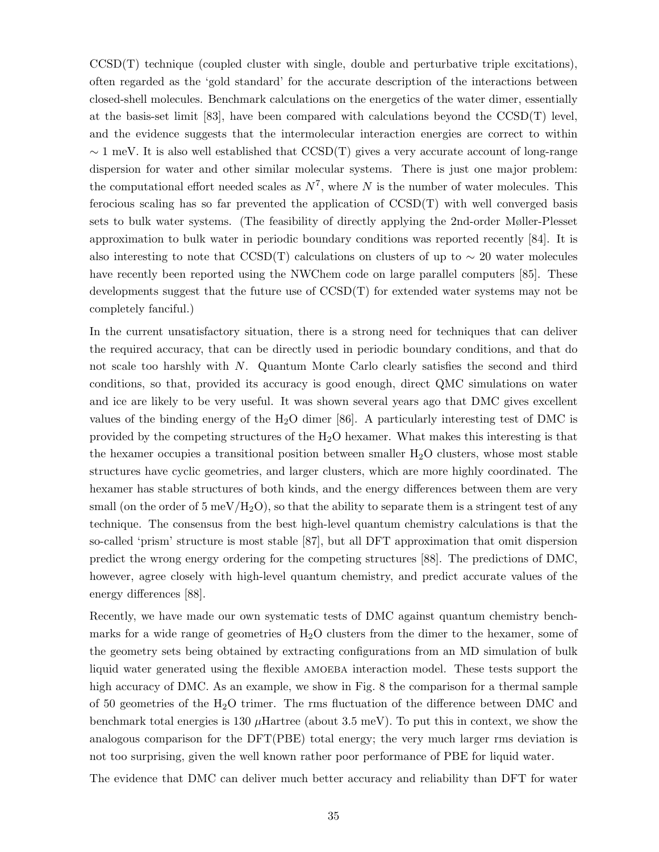$CCSD(T)$  technique (coupled cluster with single, double and perturbative triple excitations), often regarded as the 'gold standard' for the accurate description of the interactions between closed-shell molecules. Benchmark calculations on the energetics of the water dimer, essentially at the basis-set limit [83], have been compared with calculations beyond the  $\text{CCSD}(T)$  level, and the evidence suggests that the intermolecular interaction energies are correct to within  $\sim$  1 meV. It is also well established that CCSD(T) gives a very accurate account of long-range dispersion for water and other similar molecular systems. There is just one major problem: the computational effort needed scales as  $N^7$ , where N is the number of water molecules. This ferocious scaling has so far prevented the application of  $\text{CCSD}(T)$  with well converged basis sets to bulk water systems. (The feasibility of directly applying the 2nd-order Møller-Plesset approximation to bulk water in periodic boundary conditions was reported recently [84]. It is also interesting to note that CCSD(T) calculations on clusters of up to  $\sim 20$  water molecules have recently been reported using the NWChem code on large parallel computers [85]. These developments suggest that the future use of CCSD(T) for extended water systems may not be completely fanciful.)

In the current unsatisfactory situation, there is a strong need for techniques that can deliver the required accuracy, that can be directly used in periodic boundary conditions, and that do not scale too harshly with N. Quantum Monte Carlo clearly satisfies the second and third conditions, so that, provided its accuracy is good enough, direct QMC simulations on water and ice are likely to be very useful. It was shown several years ago that DMC gives excellent values of the binding energy of the  $H_2O$  dimer [86]. A particularly interesting test of DMC is provided by the competing structures of the  $H_2O$  hexamer. What makes this interesting is that the hexamer occupies a transitional position between smaller  $H_2O$  clusters, whose most stable structures have cyclic geometries, and larger clusters, which are more highly coordinated. The hexamer has stable structures of both kinds, and the energy differences between them are very small (on the order of  $5 \text{ meV/H}_2\text{O}$ ), so that the ability to separate them is a stringent test of any technique. The consensus from the best high-level quantum chemistry calculations is that the so-called 'prism' structure is most stable [87], but all DFT approximation that omit dispersion predict the wrong energy ordering for the competing structures [88]. The predictions of DMC, however, agree closely with high-level quantum chemistry, and predict accurate values of the energy differences [88].

Recently, we have made our own systematic tests of DMC against quantum chemistry benchmarks for a wide range of geometries of  $H_2O$  clusters from the dimer to the hexamer, some of the geometry sets being obtained by extracting configurations from an MD simulation of bulk liquid water generated using the flexible AMOEBA interaction model. These tests support the high accuracy of DMC. As an example, we show in Fig. 8 the comparison for a thermal sample of 50 geometries of the  $H_2O$  trimer. The rms fluctuation of the difference between DMC and benchmark total energies is 130  $\mu$ Hartree (about 3.5 meV). To put this in context, we show the analogous comparison for the DFT(PBE) total energy; the very much larger rms deviation is not too surprising, given the well known rather poor performance of PBE for liquid water.

The evidence that DMC can deliver much better accuracy and reliability than DFT for water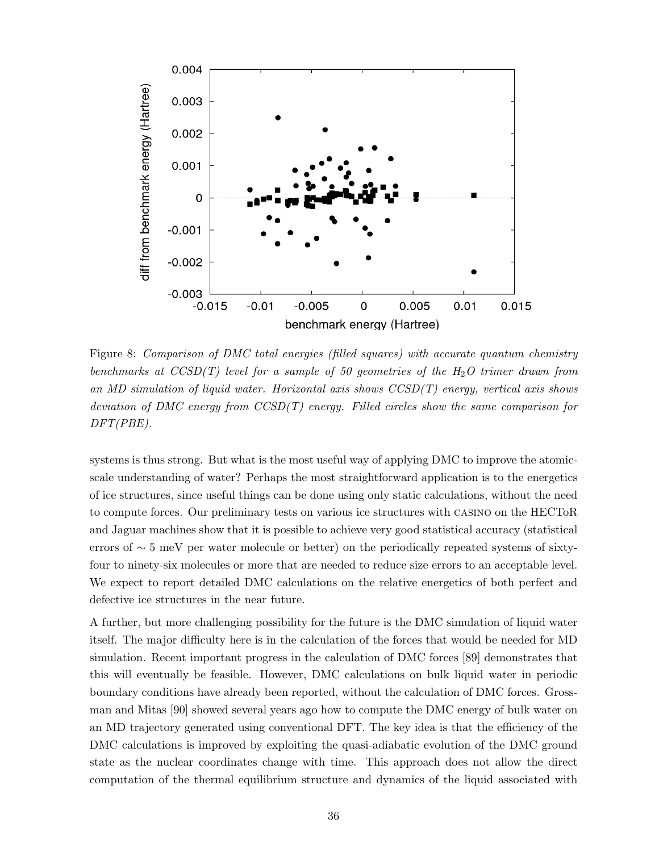

Figure 8: Comparison of DMC total energies (filled squares) with accurate quantum chemistry benchmarks at  $CCSD(T)$  level for a sample of 50 geometries of the  $H_2O$  trimer drawn from an MD simulation of liquid water. Horizontal axis shows CCSD(T) energy, vertical axis shows deviation of DMC energy from  $CCSD(T)$  energy. Filled circles show the same comparison for DFT(PBE).

systems is thus strong. But what is the most useful way of applying DMC to improve the atomicscale understanding of water? Perhaps the most straightforward application is to the energetics of ice structures, since useful things can be done using only static calculations, without the need to compute forces. Our preliminary tests on various ice structures with casino on the HECToR and Jaguar machines show that it is possible to achieve very good statistical accuracy (statistical errors of ∼ 5 meV per water molecule or better) on the periodically repeated systems of sixtyfour to ninety-six molecules or more that are needed to reduce size errors to an acceptable level. We expect to report detailed DMC calculations on the relative energetics of both perfect and defective ice structures in the near future.

A further, but more challenging possibility for the future is the DMC simulation of liquid water itself. The major difficulty here is in the calculation of the forces that would be needed for MD simulation. Recent important progress in the calculation of DMC forces [89] demonstrates that this will eventually be feasible. However, DMC calculations on bulk liquid water in periodic boundary conditions have already been reported, without the calculation of DMC forces. Grossman and Mitas [90] showed several years ago how to compute the DMC energy of bulk water on an MD trajectory generated using conventional DFT. The key idea is that the efficiency of the DMC calculations is improved by exploiting the quasi-adiabatic evolution of the DMC ground state as the nuclear coordinates change with time. This approach does not allow the direct computation of the thermal equilibrium structure and dynamics of the liquid associated with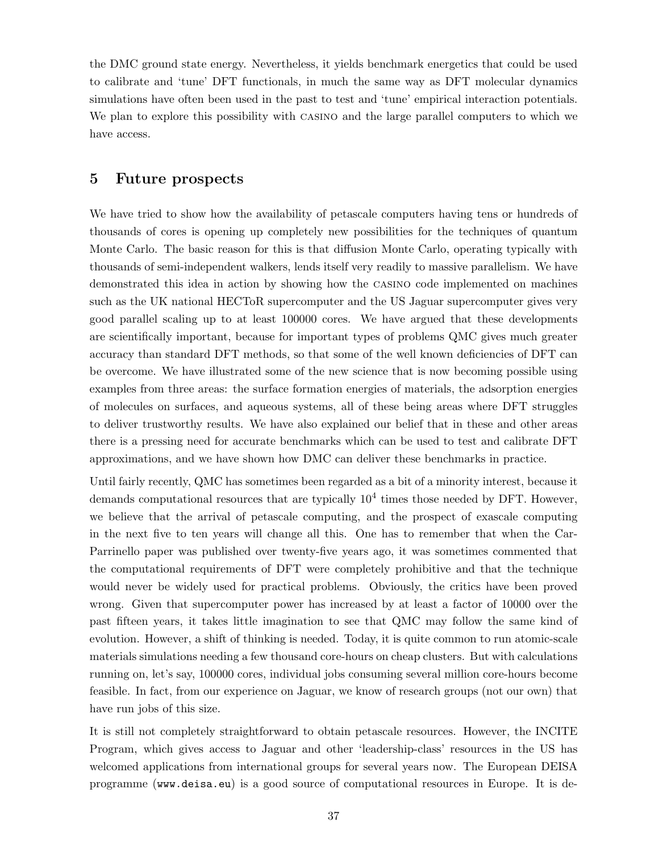the DMC ground state energy. Nevertheless, it yields benchmark energetics that could be used to calibrate and 'tune' DFT functionals, in much the same way as DFT molecular dynamics simulations have often been used in the past to test and 'tune' empirical interaction potentials. We plan to explore this possibility with casino and the large parallel computers to which we have access.

### 5 Future prospects

We have tried to show how the availability of petascale computers having tens or hundreds of thousands of cores is opening up completely new possibilities for the techniques of quantum Monte Carlo. The basic reason for this is that diffusion Monte Carlo, operating typically with thousands of semi-independent walkers, lends itself very readily to massive parallelism. We have demonstrated this idea in action by showing how the casino code implemented on machines such as the UK national HECToR supercomputer and the US Jaguar supercomputer gives very good parallel scaling up to at least 100000 cores. We have argued that these developments are scientifically important, because for important types of problems QMC gives much greater accuracy than standard DFT methods, so that some of the well known deficiencies of DFT can be overcome. We have illustrated some of the new science that is now becoming possible using examples from three areas: the surface formation energies of materials, the adsorption energies of molecules on surfaces, and aqueous systems, all of these being areas where DFT struggles to deliver trustworthy results. We have also explained our belief that in these and other areas there is a pressing need for accurate benchmarks which can be used to test and calibrate DFT approximations, and we have shown how DMC can deliver these benchmarks in practice.

Until fairly recently, QMC has sometimes been regarded as a bit of a minority interest, because it demands computational resources that are typically  $10^4$  times those needed by DFT. However, we believe that the arrival of petascale computing, and the prospect of exascale computing in the next five to ten years will change all this. One has to remember that when the Car-Parrinello paper was published over twenty-five years ago, it was sometimes commented that the computational requirements of DFT were completely prohibitive and that the technique would never be widely used for practical problems. Obviously, the critics have been proved wrong. Given that supercomputer power has increased by at least a factor of 10000 over the past fifteen years, it takes little imagination to see that QMC may follow the same kind of evolution. However, a shift of thinking is needed. Today, it is quite common to run atomic-scale materials simulations needing a few thousand core-hours on cheap clusters. But with calculations running on, let's say, 100000 cores, individual jobs consuming several million core-hours become feasible. In fact, from our experience on Jaguar, we know of research groups (not our own) that have run jobs of this size.

It is still not completely straightforward to obtain petascale resources. However, the INCITE Program, which gives access to Jaguar and other 'leadership-class' resources in the US has welcomed applications from international groups for several years now. The European DEISA programme (www.deisa.eu) is a good source of computational resources in Europe. It is de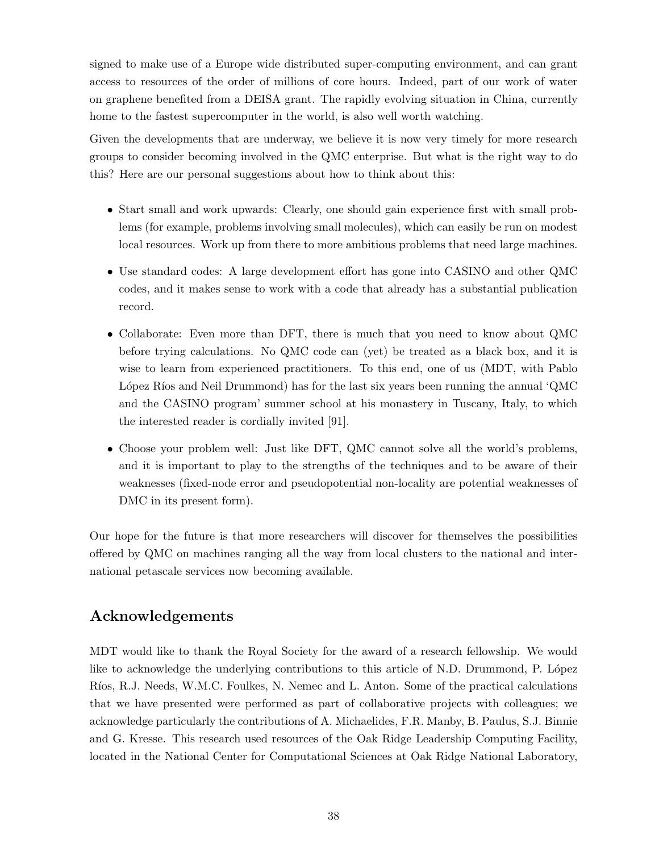signed to make use of a Europe wide distributed super-computing environment, and can grant access to resources of the order of millions of core hours. Indeed, part of our work of water on graphene benefited from a DEISA grant. The rapidly evolving situation in China, currently home to the fastest supercomputer in the world, is also well worth watching.

Given the developments that are underway, we believe it is now very timely for more research groups to consider becoming involved in the QMC enterprise. But what is the right way to do this? Here are our personal suggestions about how to think about this:

- Start small and work upwards: Clearly, one should gain experience first with small problems (for example, problems involving small molecules), which can easily be run on modest local resources. Work up from there to more ambitious problems that need large machines.
- Use standard codes: A large development effort has gone into CASINO and other QMC codes, and it makes sense to work with a code that already has a substantial publication record.
- Collaborate: Even more than DFT, there is much that you need to know about QMC before trying calculations. No QMC code can (yet) be treated as a black box, and it is wise to learn from experienced practitioners. To this end, one of us (MDT, with Pablo López Ríos and Neil Drummond) has for the last six years been running the annual 'QMC and the CASINO program' summer school at his monastery in Tuscany, Italy, to which the interested reader is cordially invited [91].
- Choose your problem well: Just like DFT, QMC cannot solve all the world's problems, and it is important to play to the strengths of the techniques and to be aware of their weaknesses (fixed-node error and pseudopotential non-locality are potential weaknesses of DMC in its present form).

Our hope for the future is that more researchers will discover for themselves the possibilities offered by QMC on machines ranging all the way from local clusters to the national and international petascale services now becoming available.

# Acknowledgements

MDT would like to thank the Royal Society for the award of a research fellowship. We would like to acknowledge the underlying contributions to this article of N.D. Drummond, P. López Ríos, R.J. Needs, W.M.C. Foulkes, N. Nemec and L. Anton. Some of the practical calculations that we have presented were performed as part of collaborative projects with colleagues; we acknowledge particularly the contributions of A. Michaelides, F.R. Manby, B. Paulus, S.J. Binnie and G. Kresse. This research used resources of the Oak Ridge Leadership Computing Facility, located in the National Center for Computational Sciences at Oak Ridge National Laboratory,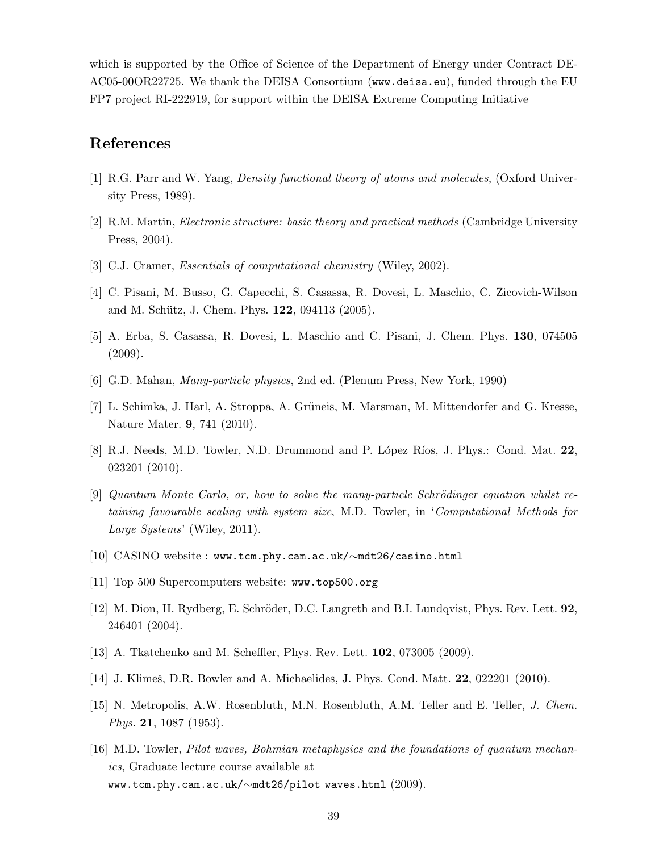which is supported by the Office of Science of the Department of Energy under Contract DE-AC05-00OR22725. We thank the DEISA Consortium (www.deisa.eu), funded through the EU FP7 project RI-222919, for support within the DEISA Extreme Computing Initiative

### References

- [1] R.G. Parr and W. Yang, Density functional theory of atoms and molecules, (Oxford University Press, 1989).
- [2] R.M. Martin, Electronic structure: basic theory and practical methods (Cambridge University Press, 2004).
- [3] C.J. Cramer, *Essentials of computational chemistry* (Wiley, 2002).
- [4] C. Pisani, M. Busso, G. Capecchi, S. Casassa, R. Dovesi, L. Maschio, C. Zicovich-Wilson and M. Schütz, J. Chem. Phys. **122**, 094113 (2005).
- [5] A. Erba, S. Casassa, R. Dovesi, L. Maschio and C. Pisani, J. Chem. Phys. 130, 074505 (2009).
- [6] G.D. Mahan, Many-particle physics, 2nd ed. (Plenum Press, New York, 1990)
- [7] L. Schimka, J. Harl, A. Stroppa, A. Grüneis, M. Marsman, M. Mittendorfer and G. Kresse, Nature Mater. 9, 741 (2010).
- [8] R.J. Needs, M.D. Towler, N.D. Drummond and P. López Ríos, J. Phys.: Cond. Mat. 22, 023201 (2010).
- $[9]$  Quantum Monte Carlo, or, how to solve the many-particle Schrödinger equation whilst retaining favourable scaling with system size, M.D. Towler, in 'Computational Methods for Large Systems' (Wiley, 2011).
- [10] CASINO website : www.tcm.phy.cam.ac.uk/∼mdt26/casino.html
- [11] Top 500 Supercomputers website: www.top500.org
- [12] M. Dion, H. Rydberg, E. Schröder, D.C. Langreth and B.I. Lundqvist, Phys. Rev. Lett. 92, 246401 (2004).
- [13] A. Tkatchenko and M. Scheffler, Phys. Rev. Lett. 102, 073005 (2009).
- [14] J. Klimeš, D.R. Bowler and A. Michaelides, J. Phys. Cond. Matt. **22**, 022201 (2010).
- [15] N. Metropolis, A.W. Rosenbluth, M.N. Rosenbluth, A.M. Teller and E. Teller, J. Chem. Phys. 21, 1087 (1953).
- [16] M.D. Towler, Pilot waves, Bohmian metaphysics and the foundations of quantum mechanics, Graduate lecture course available at www.tcm.phy.cam.ac.uk/∼mdt26/pilot waves.html (2009).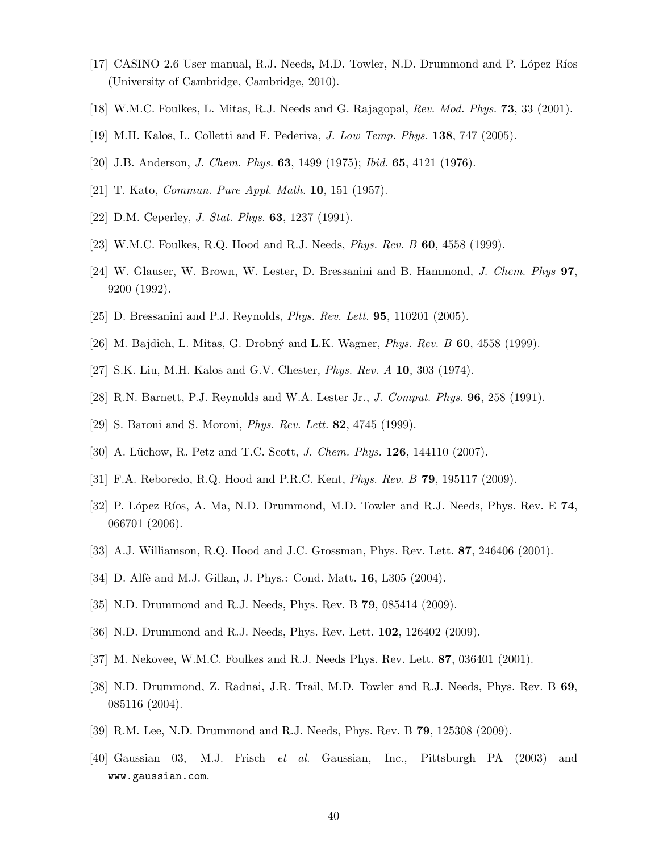- [17] CASINO 2.6 User manual, R.J. Needs, M.D. Towler, N.D. Drummond and P. López Ríos (University of Cambridge, Cambridge, 2010).
- [18] W.M.C. Foulkes, L. Mitas, R.J. Needs and G. Rajagopal, Rev. Mod. Phys. 73, 33 (2001).
- [19] M.H. Kalos, L. Colletti and F. Pederiva, J. Low Temp. Phys. 138, 747 (2005).
- [20] J.B. Anderson, J. Chem. Phys. 63, 1499 (1975); Ibid. 65, 4121 (1976).
- [21] T. Kato, Commun. Pure Appl. Math. 10, 151 (1957).
- [22] D.M. Ceperley, *J. Stat. Phys.* **63**, 1237 (1991).
- [23] W.M.C. Foulkes, R.Q. Hood and R.J. Needs, Phys. Rev. B 60, 4558 (1999).
- [24] W. Glauser, W. Brown, W. Lester, D. Bressanini and B. Hammond, J. Chem. Phys 97, 9200 (1992).
- [25] D. Bressanini and P.J. Reynolds, Phys. Rev. Lett. 95, 110201 (2005).
- [26] M. Bajdich, L. Mitas, G. Drobný and L.K. Wagner, *Phys. Rev. B* **60**, 4558 (1999).
- [27] S.K. Liu, M.H. Kalos and G.V. Chester, Phys. Rev. A 10, 303 (1974).
- [28] R.N. Barnett, P.J. Reynolds and W.A. Lester Jr., J. Comput. Phys. 96, 258 (1991).
- [29] S. Baroni and S. Moroni, *Phys. Rev. Lett.* **82**, 4745 (1999).
- [30] A. Lüchow, R. Petz and T.C. Scott, *J. Chem. Phys.* **126**, 144110 (2007).
- [31] F.A. Reboredo, R.Q. Hood and P.R.C. Kent, Phys. Rev. B 79, 195117 (2009).
- [32] P. López Ríos, A. Ma, N.D. Drummond, M.D. Towler and R.J. Needs, Phys. Rev. E 74, 066701 (2006).
- [33] A.J. Williamson, R.Q. Hood and J.C. Grossman, Phys. Rev. Lett. 87, 246406 (2001).
- [34] D. Alfè and M.J. Gillan, J. Phys.: Cond. Matt. 16, L305 (2004).
- [35] N.D. Drummond and R.J. Needs, Phys. Rev. B 79, 085414 (2009).
- [36] N.D. Drummond and R.J. Needs, Phys. Rev. Lett. 102, 126402 (2009).
- [37] M. Nekovee, W.M.C. Foulkes and R.J. Needs Phys. Rev. Lett. 87, 036401 (2001).
- [38] N.D. Drummond, Z. Radnai, J.R. Trail, M.D. Towler and R.J. Needs, Phys. Rev. B 69, 085116 (2004).
- [39] R.M. Lee, N.D. Drummond and R.J. Needs, Phys. Rev. B 79, 125308 (2009).
- [40] Gaussian 03, M.J. Frisch et al. Gaussian, Inc., Pittsburgh PA (2003) and www.gaussian.com.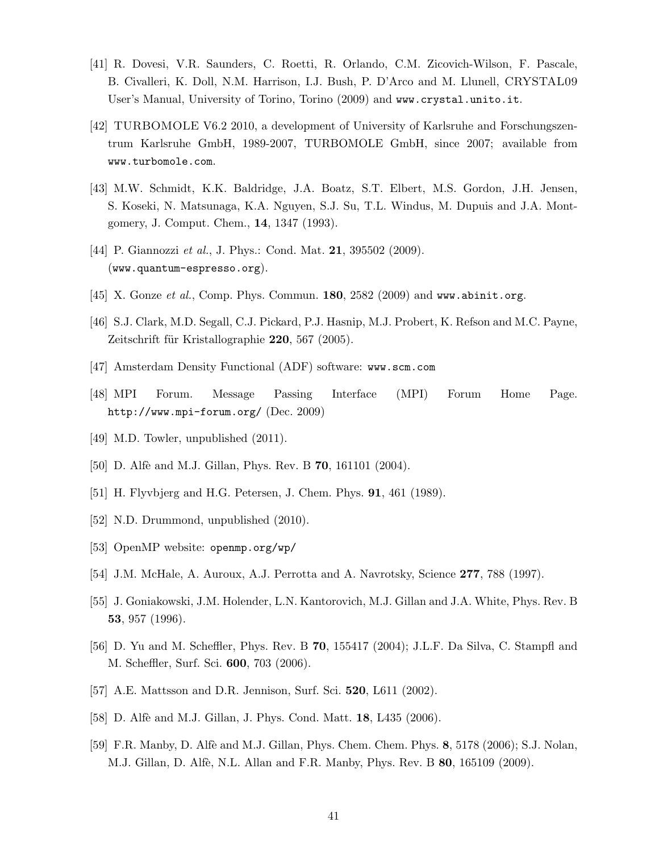- [41] R. Dovesi, V.R. Saunders, C. Roetti, R. Orlando, C.M. Zicovich-Wilson, F. Pascale, B. Civalleri, K. Doll, N.M. Harrison, I.J. Bush, P. D'Arco and M. Llunell, CRYSTAL09 User's Manual, University of Torino, Torino (2009) and www.crystal.unito.it.
- [42] TURBOMOLE V6.2 2010, a development of University of Karlsruhe and Forschungszentrum Karlsruhe GmbH, 1989-2007, TURBOMOLE GmbH, since 2007; available from www.turbomole.com.
- [43] M.W. Schmidt, K.K. Baldridge, J.A. Boatz, S.T. Elbert, M.S. Gordon, J.H. Jensen, S. Koseki, N. Matsunaga, K.A. Nguyen, S.J. Su, T.L. Windus, M. Dupuis and J.A. Montgomery, J. Comput. Chem., 14, 1347 (1993).
- [44] P. Giannozzi *et al.*, J. Phys.: Cond. Mat. **21**, 395502 (2009). (www.quantum-espresso.org).
- [45] X. Gonze et al., Comp. Phys. Commun.  $180$ ,  $2582$  (2009) and www.abinit.org.
- [46] S.J. Clark, M.D. Segall, C.J. Pickard, P.J. Hasnip, M.J. Probert, K. Refson and M.C. Payne, Zeitschrift für Kristallographie  $220, 567$  (2005).
- [47] Amsterdam Density Functional (ADF) software: www.scm.com
- [48] MPI Forum. Message Passing Interface (MPI) Forum Home Page. http://www.mpi-forum.org/ (Dec. 2009)
- [49] M.D. Towler, unpublished  $(2011)$ .
- [50] D. Alfè and M.J. Gillan, Phys. Rev. B **70**, 161101 (2004).
- [51] H. Flyvbjerg and H.G. Petersen, J. Chem. Phys. 91, 461 (1989).
- [52] N.D. Drummond, unpublished  $(2010)$ .
- [53] OpenMP website: openmp.org/wp/
- [54] J.M. McHale, A. Auroux, A.J. Perrotta and A. Navrotsky, Science 277, 788 (1997).
- [55] J. Goniakowski, J.M. Holender, L.N. Kantorovich, M.J. Gillan and J.A. White, Phys. Rev. B 53, 957 (1996).
- [56] D. Yu and M. Scheffler, Phys. Rev. B 70, 155417 (2004); J.L.F. Da Silva, C. Stampfl and M. Scheffler, Surf. Sci. 600, 703 (2006).
- [57] A.E. Mattsson and D.R. Jennison, Surf. Sci. 520, L611 (2002).
- [58] D. Alfè and M.J. Gillan, J. Phys. Cond. Matt. **18**, L435 (2006).
- [59] F.R. Manby, D. Alfè and M.J. Gillan, Phys. Chem. Chem. Phys. 8, 5178 (2006); S.J. Nolan, M.J. Gillan, D. Alfè, N.L. Allan and F.R. Manby, Phys. Rev. B **80**, 165109 (2009).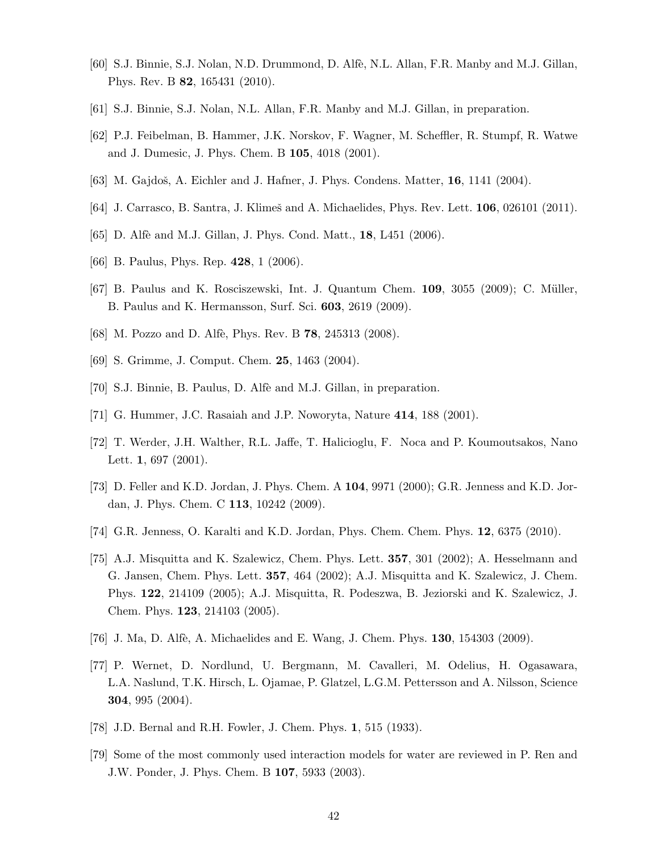- [60] S.J. Binnie, S.J. Nolan, N.D. Drummond, D. Alfè, N.L. Allan, F.R. Manby and M.J. Gillan, Phys. Rev. B 82, 165431 (2010).
- [61] S.J. Binnie, S.J. Nolan, N.L. Allan, F.R. Manby and M.J. Gillan, in preparation.
- [62] P.J. Feibelman, B. Hammer, J.K. Norskov, F. Wagner, M. Scheffler, R. Stumpf, R. Watwe and J. Dumesic, J. Phys. Chem. B 105, 4018 (2001).
- [63] M. Gajdoš, A. Eichler and J. Hafner, J. Phys. Condens. Matter,  $16$ ,  $1141$  (2004).
- [64] J. Carrasco, B. Santra, J. Klimeš and A. Michaelides, Phys. Rev. Lett. **106**, 026101 (2011).
- [65] D. Alfè and M.J. Gillan, J. Phys. Cond. Matt., **18**, L451 (2006).
- [66] B. Paulus, Phys. Rep. 428, 1 (2006).
- [67] B. Paulus and K. Rosciszewski, Int. J. Quantum Chem.  $109$ ,  $3055$  (2009); C. Müller, B. Paulus and K. Hermansson, Surf. Sci. 603, 2619 (2009).
- [68] M. Pozzo and D. Alfè, Phys. Rev. B **78**, 245313 (2008).
- [69] S. Grimme, J. Comput. Chem. 25, 1463 (2004).
- [70] S.J. Binnie, B. Paulus, D. Alfè and M.J. Gillan, in preparation.
- [71] G. Hummer, J.C. Rasaiah and J.P. Noworyta, Nature 414, 188 (2001).
- [72] T. Werder, J.H. Walther, R.L. Jaffe, T. Halicioglu, F. Noca and P. Koumoutsakos, Nano Lett. **1**, 697 (2001).
- [73] D. Feller and K.D. Jordan, J. Phys. Chem. A 104, 9971 (2000); G.R. Jenness and K.D. Jordan, J. Phys. Chem. C 113, 10242 (2009).
- [74] G.R. Jenness, O. Karalti and K.D. Jordan, Phys. Chem. Chem. Phys. 12, 6375 (2010).
- [75] A.J. Misquitta and K. Szalewicz, Chem. Phys. Lett. 357, 301 (2002); A. Hesselmann and G. Jansen, Chem. Phys. Lett. 357, 464 (2002); A.J. Misquitta and K. Szalewicz, J. Chem. Phys. 122, 214109 (2005); A.J. Misquitta, R. Podeszwa, B. Jeziorski and K. Szalewicz, J. Chem. Phys. 123, 214103 (2005).
- [76] J. Ma, D. Alfè, A. Michaelides and E. Wang, J. Chem. Phys. **130**, 154303 (2009).
- [77] P. Wernet, D. Nordlund, U. Bergmann, M. Cavalleri, M. Odelius, H. Ogasawara, L.A. Naslund, T.K. Hirsch, L. Ojamae, P. Glatzel, L.G.M. Pettersson and A. Nilsson, Science 304, 995 (2004).
- [78] J.D. Bernal and R.H. Fowler, J. Chem. Phys. 1, 515 (1933).
- [79] Some of the most commonly used interaction models for water are reviewed in P. Ren and J.W. Ponder, J. Phys. Chem. B 107, 5933 (2003).